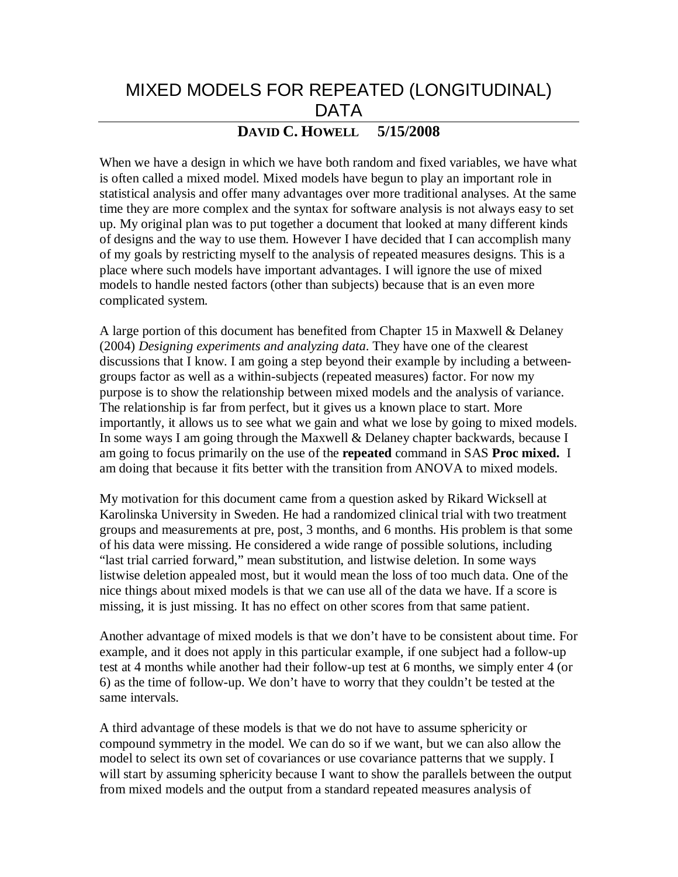# MIXED MODELS FOR REPEATED (LONGITUDINAL) DATA

## **DAVID C. HOWELL 5/15/2008**

When we have a design in which we have both random and fixed variables, we have what is often called a mixed model. Mixed models have begun to play an important role in statistical analysis and offer many advantages over more traditional analyses. At the same time they are more complex and the syntax for software analysis is not always easy to set up. My original plan was to put together a document that looked at many different kinds of designs and the way to use them. However I have decided that I can accomplish many of my goals by restricting myself to the analysis of repeated measures designs. This is a place where such models have important advantages. I will ignore the use of mixed models to handle nested factors (other than subjects) because that is an even more complicated system.

A large portion of this document has benefited from Chapter 15 in Maxwell & Delaney (2004) *Designing experiments and analyzing data*. They have one of the clearest discussions that I know. I am going a step beyond their example by including a betweengroups factor as well as a within-subjects (repeated measures) factor. For now my purpose is to show the relationship between mixed models and the analysis of variance. The relationship is far from perfect, but it gives us a known place to start. More importantly, it allows us to see what we gain and what we lose by going to mixed models. In some ways I am going through the Maxwell & Delaney chapter backwards, because I am going to focus primarily on the use of the **repeated** command in SAS **Proc mixed.** I am doing that because it fits better with the transition from ANOVA to mixed models.

My motivation for this document came from a question asked by Rikard Wicksell at Karolinska University in Sweden. He had a randomized clinical trial with two treatment groups and measurements at pre, post, 3 months, and 6 months. His problem is that some of his data were missing. He considered a wide range of possible solutions, including "last trial carried forward," mean substitution, and listwise deletion. In some ways listwise deletion appealed most, but it would mean the loss of too much data. One of the nice things about mixed models is that we can use all of the data we have. If a score is missing, it is just missing. It has no effect on other scores from that same patient.

Another advantage of mixed models is that we don't have to be consistent about time. For example, and it does not apply in this particular example, if one subject had a follow-up test at 4 months while another had their follow-up test at 6 months, we simply enter 4 (or 6) as the time of follow-up. We don't have to worry that they couldn't be tested at the same intervals.

A third advantage of these models is that we do not have to assume sphericity or compound symmetry in the model. We can do so if we want, but we can also allow the model to select its own set of covariances or use covariance patterns that we supply. I will start by assuming sphericity because I want to show the parallels between the output from mixed models and the output from a standard repeated measures analysis of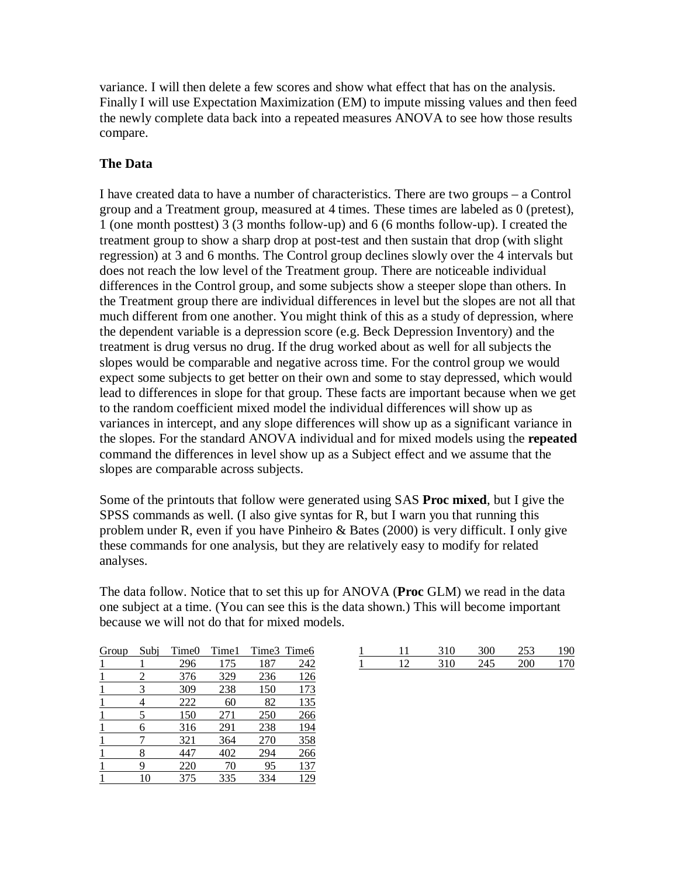variance. I will then delete a few scores and show what effect that has on the analysis. Finally I will use Expectation Maximization (EM) to impute missing values and then feed the newly complete data back into a repeated measures ANOVA to see how those results compare.

## **The Data**

I have created data to have a number of characteristics. There are two groups – a Control group and a Treatment group, measured at 4 times. These times are labeled as 0 (pretest), 1 (one month posttest) 3 (3 months follow-up) and 6 (6 months follow-up). I created the treatment group to show a sharp drop at post-test and then sustain that drop (with slight regression) at 3 and 6 months. The Control group declines slowly over the 4 intervals but does not reach the low level of the Treatment group. There are noticeable individual differences in the Control group, and some subjects show a steeper slope than others. In the Treatment group there are individual differences in level but the slopes are not all that much different from one another. You might think of this as a study of depression, where the dependent variable is a depression score (e.g. Beck Depression Inventory) and the treatment is drug versus no drug. If the drug worked about as well for all subjects the slopes would be comparable and negative across time. For the control group we would expect some subjects to get better on their own and some to stay depressed, which would lead to differences in slope for that group. These facts are important because when we get to the random coefficient mixed model the individual differences will show up as variances in intercept, and any slope differences will show up as a significant variance in the slopes. For the standard ANOVA individual and for mixed models using the **repeated** command the differences in level show up as a Subject effect and we assume that the slopes are comparable across subjects.

Some of the printouts that follow were generated using SAS **Proc mixed**, but I give the SPSS commands as well. (I also give syntas for R, but I warn you that running this problem under R, even if you have Pinheiro & Bates (2000) is very difficult. I only give these commands for one analysis, but they are relatively easy to modify for related analyses.

The data follow. Notice that to set this up for ANOVA (**Proc** GLM) we read in the data one subject at a time. (You can see this is the data shown.) This will become important because we will not do that for mixed models.

| Group | Subi | Time0 | Time1 |     | Time3 Time6 |
|-------|------|-------|-------|-----|-------------|
|       |      | 296   | 175   | 187 | 242         |
|       |      | 376   | 329   | 236 | 126         |
|       |      | 309   | 238   | 150 | 173         |
|       |      | 222   | 60    | 82  | 135         |
|       |      | 150   | 271   | 250 | <u>266</u>  |
|       |      | 316   | 291   | 238 | 194         |
|       |      | 321   | 364   | 270 | 358         |
|       |      | 447   | 402   | 294 | 266         |
|       |      | 220   | 70    | 95  | 137         |
|       |      | 375   | 335   | 334 |             |

|              |      | 21 M | 253 |      |
|--------------|------|------|-----|------|
| $\mathbf{1}$ | 211) | 145  | 200 | I 71 |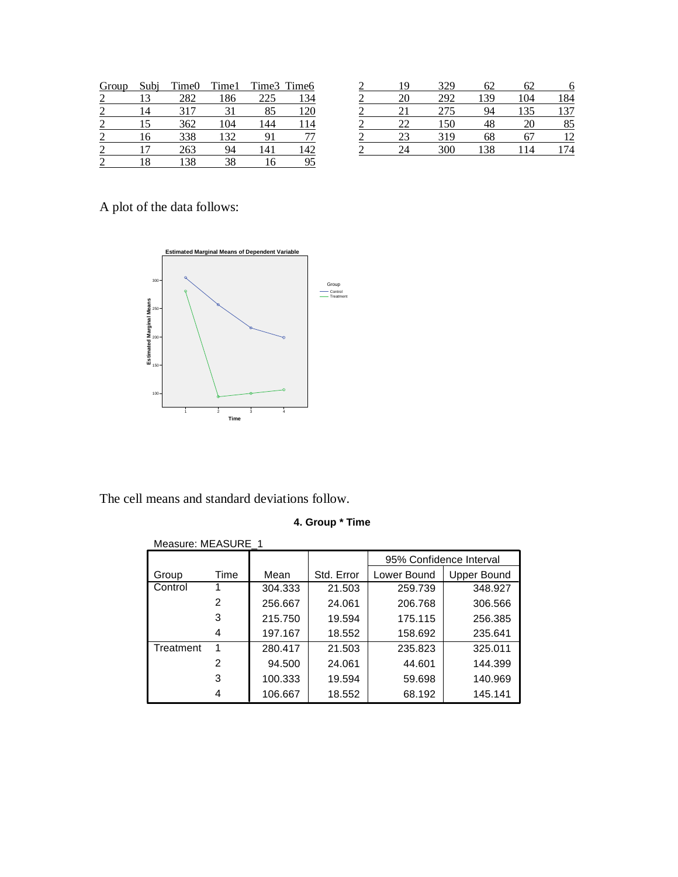| Group                    | Subi | Time0 | Time1 | Time3 Time6 |     |
|--------------------------|------|-------|-------|-------------|-----|
|                          | 3    | 282   | 186   | 225         | 134 |
| $\overline{\mathcal{L}}$ | 14   | 317   | 31    | 85          | 120 |
| $\mathfrak{D}$           | 15   | 362   | 104   | 144         | 114 |
|                          | 16   | 338   | 132   | 91          | 77  |
| 2                        |      | 263   | 94    | 141         | 142 |
|                          | .8   | 138   |       |             | 95  |

| 19 | 329 | 62 | 62  | 6   |
|----|-----|----|-----|-----|
| 20 | 292 | 39 | 104 | 184 |
| 21 | 275 | 94 | 135 | 137 |
| 22 | 150 | 48 | 20  | 85  |
| 23 | 319 | 68 |     | 12  |
| 24 | 300 | 38 | 14  | 74  |

A plot of the data follows:



The cell means and standard deviations follow.

## **4. Group \* Time**

| Measure: MEASURE 1 |      |         |            |             |                         |  |  |
|--------------------|------|---------|------------|-------------|-------------------------|--|--|
|                    |      |         |            |             | 95% Confidence Interval |  |  |
| Group              | Time | Mean    | Std. Error | Lower Bound | Upper Bound             |  |  |
| Control            |      | 304.333 | 21.503     | 259.739     | 348.927                 |  |  |
|                    | 2    | 256.667 | 24.061     | 206.768     | 306.566                 |  |  |
|                    | 3    | 215.750 | 19.594     | 175.115     | 256.385                 |  |  |
|                    | 4    | 197.167 | 18.552     | 158.692     | 235.641                 |  |  |
| Treatment          | 1    | 280.417 | 21.503     | 235.823     | 325.011                 |  |  |
|                    | 2    | 94.500  | 24.061     | 44.601      | 144.399                 |  |  |
|                    | 3    | 100.333 | 19.594     | 59.698      | 140.969                 |  |  |
|                    | 4    | 106.667 | 18.552     | 68.192      | 145.141                 |  |  |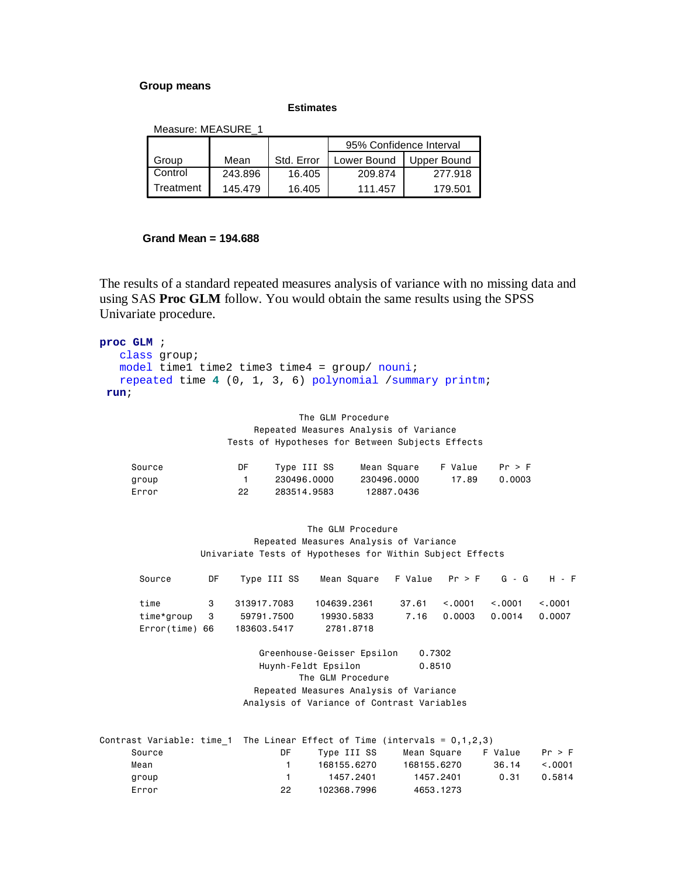#### **Group means**

**Estimates**

Measure: MEASURE\_1

|           |         |            | 95% Confidence Interval |             |  |
|-----------|---------|------------|-------------------------|-------------|--|
| Group     | Mean    | Std. Error | Lower Bound             | Upper Bound |  |
| Control   | 243.896 | 16.405     | 209.874                 | 277.918     |  |
| Treatment | 145.479 | 16.405     | 111.457                 | 179.501     |  |

#### **Grand Mean = 194.688**

The results of a standard repeated measures analysis of variance with no missing data and using SAS **Proc GLM** follow. You would obtain the same results using the SPSS Univariate procedure.

```
proc GLM ; 
    class group; 
   model time1 time2 time3 time4 = qroup/ nouni;
    repeated time 4 (0, 1, 3, 6) polynomial /summary printm; 
 run;
```
 The GLM Procedure Repeated Measures Analysis of Variance Tests of Hypotheses for Between Subjects Effects

| Source | DF | Type III SS | Mean Square | F Value | Pr > F |
|--------|----|-------------|-------------|---------|--------|
| group  |    | 230496.0000 | 230496.0000 | 17.89   | 0.0003 |
| Frror  | 22 | 283514.9583 | 12887.0436  |         |        |

 The GLM Procedure Repeated Measures Analysis of Variance Univariate Tests of Hypotheses for Within Subject Effects

| Source                                   | DF Type III SS                           | Mean Square F Value $Pr > F$ G - G H - F |                |                      |         |                   |
|------------------------------------------|------------------------------------------|------------------------------------------|----------------|----------------------|---------|-------------------|
| time 3<br>time*group 3<br>Error(time) 66 | 313917.7083<br>59791.7500<br>183603.5417 | 104639.2361<br>19930.5833<br>2781,8718   | $37.61$ < 0001 | 7.16  0.0003  0.0014 | < 0.001 | < 0.001<br>0.0007 |

 Greenhouse-Geisser Epsilon 0.7302 Huynh-Feldt Epsilon 0.8510 The GLM Procedure Repeated Measures Analysis of Variance Analysis of Variance of Contrast Variables

| Contrast Variable: time 1 The Linear Effect of Time (intervals = $0,1,2,3$ ) |     |             |             |         |         |
|------------------------------------------------------------------------------|-----|-------------|-------------|---------|---------|
| Source                                                                       | DF. | Type III SS | Mean Square | F Value | Pr > F  |
| Mean                                                                         |     | 168155.6270 | 168155.6270 | 36.14   | < 0.001 |
| group                                                                        |     | 1457.2401   | 1457.2401   | 0.31    | 0.5814  |
| Error                                                                        | 22. | 102368.7996 | 4653.1273   |         |         |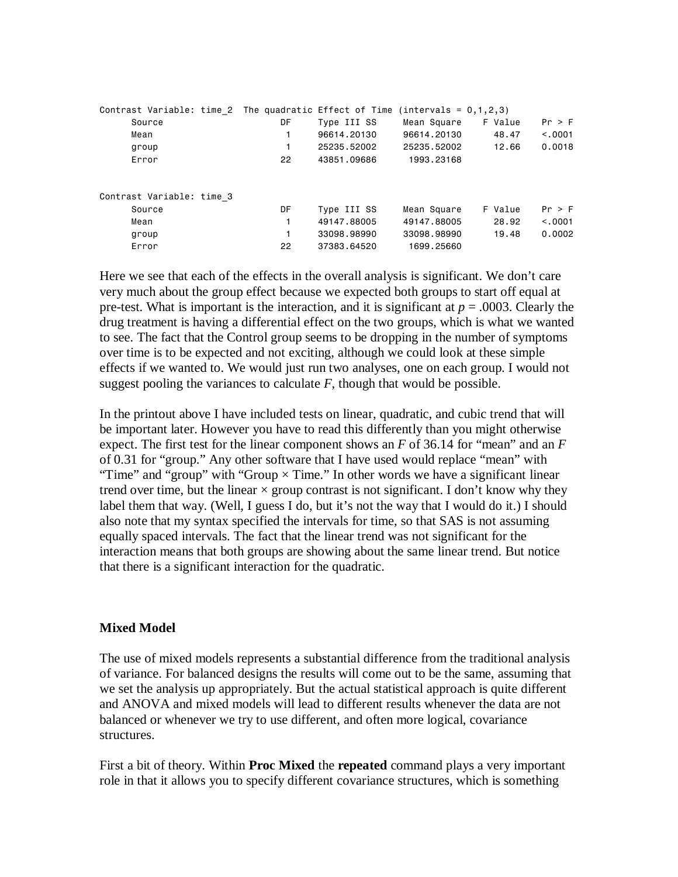| Contrast Variable: time 2 The quadratic Effect of Time |    |             | $(intervals = 0, 1, 2, 3)$ |         |          |
|--------------------------------------------------------|----|-------------|----------------------------|---------|----------|
| Source                                                 | DF | Type III SS | Mean Square                | F Value | Pr > F   |
| Mean                                                   |    | 96614,20130 | 96614.20130                | 48.47   | < 0.0001 |
| group                                                  |    | 25235.52002 | 25235.52002                | 12.66   | 0.0018   |
| Error                                                  | 22 | 43851.09686 | 1993.23168                 |         |          |
| Contrast Variable: time 3                              |    |             |                            |         |          |
| Source                                                 | DF | Type III SS | Mean Square                | F Value | Pr > F   |
| Mean                                                   |    | 49147.88005 | 49147.88005                | 28.92   | < 0.001  |
| group                                                  | 1  | 33098.98990 | 33098.98990                | 19.48   | 0.0002   |
| Error                                                  | 22 | 37383.64520 | 1699.25660                 |         |          |

Here we see that each of the effects in the overall analysis is significant. We don't care very much about the group effect because we expected both groups to start off equal at pre-test. What is important is the interaction, and it is significant at  $p = .0003$ . Clearly the drug treatment is having a differential effect on the two groups, which is what we wanted to see. The fact that the Control group seems to be dropping in the number of symptoms over time is to be expected and not exciting, although we could look at these simple effects if we wanted to. We would just run two analyses, one on each group. I would not suggest pooling the variances to calculate  $F$ , though that would be possible.

In the printout above I have included tests on linear, quadratic, and cubic trend that will be important later. However you have to read this differently than you might otherwise expect. The first test for the linear component shows an *F* of 36.14 for "mean" and an *F* of 0.31 for "group." Any other software that I have used would replace "mean" with "Time" and "group" with "Group  $\times$  Time." In other words we have a significant linear trend over time, but the linear  $\times$  group contrast is not significant. I don't know why they label them that way. (Well, I guess I do, but it's not the way that I would do it.) I should also note that my syntax specified the intervals for time, so that SAS is not assuming equally spaced intervals. The fact that the linear trend was not significant for the interaction means that both groups are showing about the same linear trend. But notice that there is a significant interaction for the quadratic.

#### **Mixed Model**

The use of mixed models represents a substantial difference from the traditional analysis of variance. For balanced designs the results will come out to be the same, assuming that we set the analysis up appropriately. But the actual statistical approach is quite different and ANOVA and mixed models will lead to different results whenever the data are not balanced or whenever we try to use different, and often more logical, covariance structures.

First a bit of theory. Within **Proc Mixed** the **repeated** command plays a very important role in that it allows you to specify different covariance structures, which is something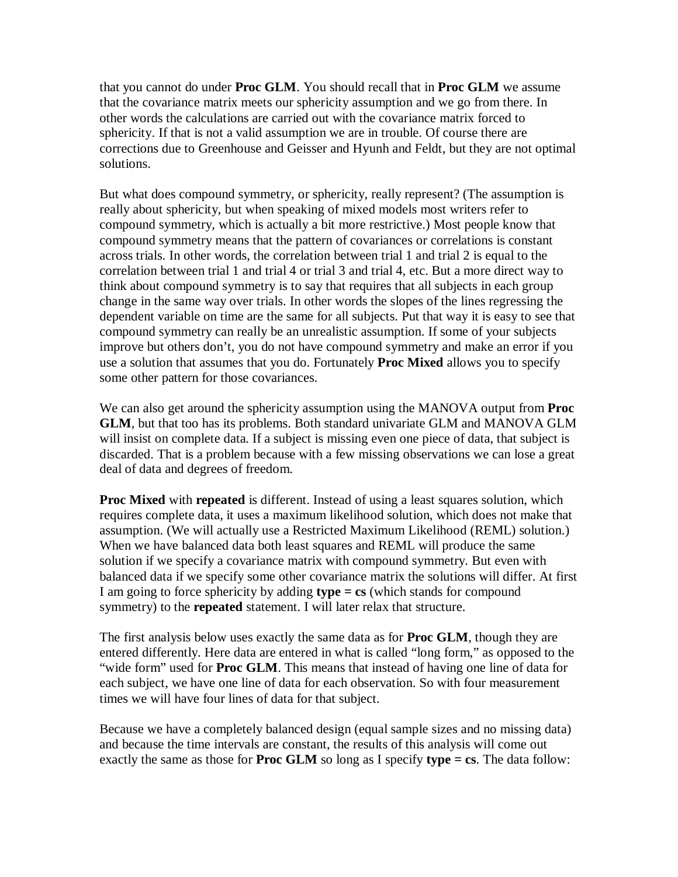that you cannot do under **Proc GLM**. You should recall that in **Proc GLM** we assume that the covariance matrix meets our sphericity assumption and we go from there. In other words the calculations are carried out with the covariance matrix forced to sphericity. If that is not a valid assumption we are in trouble. Of course there are corrections due to Greenhouse and Geisser and Hyunh and Feldt, but they are not optimal solutions.

But what does compound symmetry, or sphericity, really represent? (The assumption is really about sphericity, but when speaking of mixed models most writers refer to compound symmetry, which is actually a bit more restrictive.) Most people know that compound symmetry means that the pattern of covariances or correlations is constant across trials. In other words, the correlation between trial 1 and trial 2 is equal to the correlation between trial 1 and trial 4 or trial 3 and trial 4, etc. But a more direct way to think about compound symmetry is to say that requires that all subjects in each group change in the same way over trials. In other words the slopes of the lines regressing the dependent variable on time are the same for all subjects. Put that way it is easy to see that compound symmetry can really be an unrealistic assumption. If some of your subjects improve but others don't, you do not have compound symmetry and make an error if you use a solution that assumes that you do. Fortunately **Proc Mixed** allows you to specify some other pattern for those covariances.

We can also get around the sphericity assumption using the MANOVA output from **Proc GLM**, but that too has its problems. Both standard univariate GLM and MANOVA GLM will insist on complete data. If a subject is missing even one piece of data, that subject is discarded. That is a problem because with a few missing observations we can lose a great deal of data and degrees of freedom.

**Proc Mixed** with **repeated** is different. Instead of using a least squares solution, which requires complete data, it uses a maximum likelihood solution, which does not make that assumption. (We will actually use a Restricted Maximum Likelihood (REML) solution.) When we have balanced data both least squares and REML will produce the same solution if we specify a covariance matrix with compound symmetry. But even with balanced data if we specify some other covariance matrix the solutions will differ. At first I am going to force sphericity by adding **type = cs** (which stands for compound symmetry) to the **repeated** statement. I will later relax that structure.

The first analysis below uses exactly the same data as for **Proc GLM**, though they are entered differently. Here data are entered in what is called "long form," as opposed to the "wide form" used for **Proc GLM**. This means that instead of having one line of data for each subject, we have one line of data for each observation. So with four measurement times we will have four lines of data for that subject.

Because we have a completely balanced design (equal sample sizes and no missing data) and because the time intervals are constant, the results of this analysis will come out exactly the same as those for **Proc GLM** so long as I specify **type = cs**. The data follow: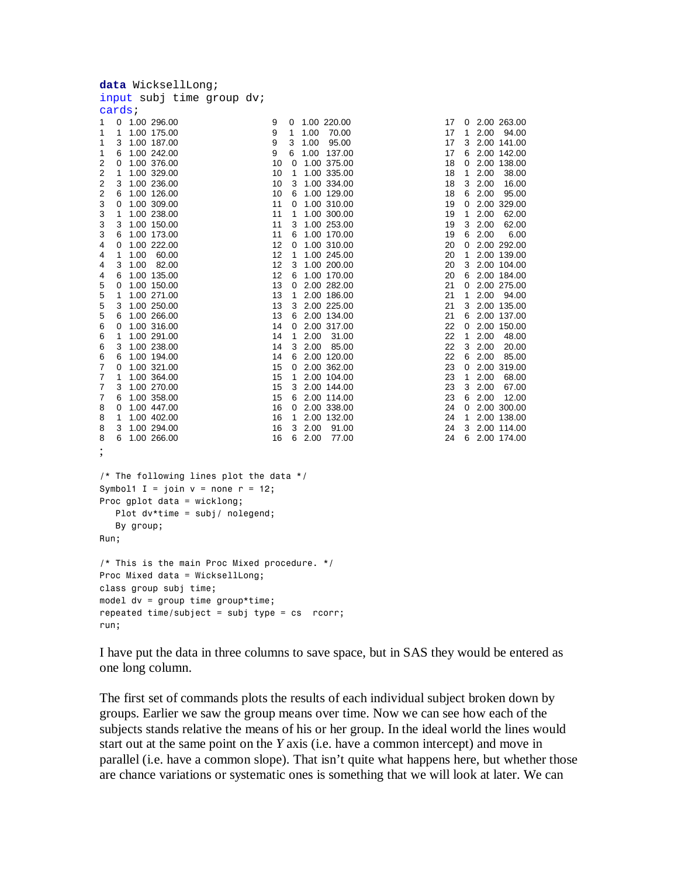| <b>data</b> WicksellLong;                                                                                                                                                                                                                                                                                                                                                                                                                                                                                                                                                                                                                                                                                                                      |                                                                                                                                                                                                                                                                                                                                                                                                                                                                                                                                                                                                                                                                                                                                                                               |                                                                                                                                                                                                                                                                                                                                                                                                                                                                                                                                                                                                                                         |
|------------------------------------------------------------------------------------------------------------------------------------------------------------------------------------------------------------------------------------------------------------------------------------------------------------------------------------------------------------------------------------------------------------------------------------------------------------------------------------------------------------------------------------------------------------------------------------------------------------------------------------------------------------------------------------------------------------------------------------------------|-------------------------------------------------------------------------------------------------------------------------------------------------------------------------------------------------------------------------------------------------------------------------------------------------------------------------------------------------------------------------------------------------------------------------------------------------------------------------------------------------------------------------------------------------------------------------------------------------------------------------------------------------------------------------------------------------------------------------------------------------------------------------------|-----------------------------------------------------------------------------------------------------------------------------------------------------------------------------------------------------------------------------------------------------------------------------------------------------------------------------------------------------------------------------------------------------------------------------------------------------------------------------------------------------------------------------------------------------------------------------------------------------------------------------------------|
| input subj time group dv;                                                                                                                                                                                                                                                                                                                                                                                                                                                                                                                                                                                                                                                                                                                      |                                                                                                                                                                                                                                                                                                                                                                                                                                                                                                                                                                                                                                                                                                                                                                               |                                                                                                                                                                                                                                                                                                                                                                                                                                                                                                                                                                                                                                         |
| cards;                                                                                                                                                                                                                                                                                                                                                                                                                                                                                                                                                                                                                                                                                                                                         |                                                                                                                                                                                                                                                                                                                                                                                                                                                                                                                                                                                                                                                                                                                                                                               |                                                                                                                                                                                                                                                                                                                                                                                                                                                                                                                                                                                                                                         |
| 0<br>1.00 296.00<br>1<br>1<br>1<br>1.00 175.00<br>3<br>1<br>1.00 187.00<br>1<br>1.00 242.00<br>6<br>2<br>0 1.00 376.00<br>2<br>1 1.00 329.00<br>2<br>3 1.00 236.00<br>2<br>6 1.00 126.00<br>3<br>0 1.00 309.00<br>3<br>1<br>1.00 238.00<br>3<br>3 1.00 150.00<br>3<br>6 1.00 173.00<br>4<br>0 1.00 222.00<br>4<br>$\mathbf{1}$<br>1.00<br>60.00<br>3 1.00<br>4<br>82.00<br>4<br>6 1.00 135.00<br>5<br>1.00 150.00<br>0<br>5<br>1<br>1.00 271.00<br>5<br>3 1.00 250.00<br>5<br>1.00 266.00<br>6<br>6<br>0 1.00 316.00<br>6<br>$\mathbf{1}$<br>1.00 291.00<br>6<br>3 1.00 238.00<br>6<br>6 1.00 194.00<br>7<br>0 1.00 321.00<br>7<br>1<br>1.00 364.00<br>7<br>3 1.00 270.00<br>7<br>6 1.00 358.00<br>8<br>0 1.00 447.00<br>8<br>1<br>1.00 402.00 | 9<br>1.00 220.00<br>0<br>9<br>1<br>1.00<br>70.00<br>9<br>3<br>1.00<br>95.00<br>9<br>6 1.00 137.00<br>10<br>$0$ 1.00 375.00<br>10<br>$\mathbf{1}$<br>1.00 335.00<br>10<br>3<br>1.00 334.00<br>10<br>1.00 129.00<br>6<br>11<br>0 1.00 310.00<br>11<br>1<br>1.00 300.00<br>11<br>3<br>1.00 253.00<br>11<br>6 1.00 170.00<br>12<br>0 1.00 310.00<br>12<br>$\mathbf{1}$<br>1.00 245.00<br>12<br>3<br>1.00 200.00<br>12<br>6 1.00 170.00<br>13<br>$0$ 2.00 282.00<br>13<br>1 2.00 186.00<br>13<br>3 2.00 225.00<br>13<br>6 2.00 134.00<br>14<br>0 2.00 317.00<br>1, 2.00<br>14<br>31.00<br>14<br>3 2.00<br>85.00<br>14<br>6 2.00 120.00<br>15<br>0 2.00 362.00<br>15<br>1 2.00 104.00<br>15<br>3 2.00 144.00<br>15<br>6 2.00 114.00<br>16<br>$0$ 2.00 338.00<br>1 2.00 132.00<br>16 | 17<br>2.00<br>0<br>17<br>1<br>2.00<br>17<br>3<br>2.00<br>17<br>6<br>2.00<br>18<br>0<br>2.00<br>18<br>1<br>2.00<br>18<br>3<br>2.00<br>18<br>6<br>2.00<br>19<br>2.00<br>$\mathbf{0}$<br>19<br>2.00<br>1<br>3<br>19<br>2.00<br>19<br>6<br>2.00<br>20<br>2.00<br>0<br>20<br>$\mathbf{1}$<br>2.00<br>20<br>3<br>2.00<br>20<br>6<br>2.00<br>21<br>2.00<br>0<br>21<br>$\mathbf{1}$<br>2.00<br>21<br>3<br>2.00<br>21<br>6<br>2.00<br>22<br>0<br>2.00<br>22<br>$\mathbf{1}$<br>2.00<br>22<br>3<br>2.00<br>22<br>6 2.00<br>23<br>2.00<br>0<br>23<br>1<br>2.00<br>23<br>3<br>2.00<br>23<br>6 2.00<br>24<br>$\mathbf{0}$<br>2.00<br>24<br>1<br>2.00 |
| 3 1.00 294.00<br>8                                                                                                                                                                                                                                                                                                                                                                                                                                                                                                                                                                                                                                                                                                                             | 32.00<br>16<br>91.00                                                                                                                                                                                                                                                                                                                                                                                                                                                                                                                                                                                                                                                                                                                                                          | 24<br>3<br>2.00                                                                                                                                                                                                                                                                                                                                                                                                                                                                                                                                                                                                                         |
| 8<br>6 1.00 266.00                                                                                                                                                                                                                                                                                                                                                                                                                                                                                                                                                                                                                                                                                                                             | 16<br>6 2.00<br>77.00                                                                                                                                                                                                                                                                                                                                                                                                                                                                                                                                                                                                                                                                                                                                                         | 24<br>6 2.00                                                                                                                                                                                                                                                                                                                                                                                                                                                                                                                                                                                                                            |
| $\overline{\phantom{a}}$<br>/* The following lines plot the data */<br>Symbol1 I = join $v =$ none $r = 12$ ;<br>Proc gplot data = wicklong;<br>Plot $dv^*$ time = subj/ nolegend;<br>By group;<br>Run;                                                                                                                                                                                                                                                                                                                                                                                                                                                                                                                                        |                                                                                                                                                                                                                                                                                                                                                                                                                                                                                                                                                                                                                                                                                                                                                                               |                                                                                                                                                                                                                                                                                                                                                                                                                                                                                                                                                                                                                                         |
| $/*$ This is the main Proc Mixed procedure. $*/$<br>Proc Mixed data = WicksellLong;<br>class group subj time;<br>model dv = group time group *time;<br>repeated time/subject = subj type = cs rcorr;<br>run;                                                                                                                                                                                                                                                                                                                                                                                                                                                                                                                                   |                                                                                                                                                                                                                                                                                                                                                                                                                                                                                                                                                                                                                                                                                                                                                                               |                                                                                                                                                                                                                                                                                                                                                                                                                                                                                                                                                                                                                                         |

263.00 94.00 141.00 142.00 138.00 38.00 16.00 95.00 329.00 62.00 62.00 6.00 292.00 139.00 104.00 184.00 275.00 94.00 135.00 137.00 150.00 48.00 20.00 85.00 319.00 68.00 67.00 12.00 300.00 138.00 114.00 174.00

I have put the data in three columns to save space, but in SAS they would be entered as one long column.

The first set of commands plots the results of each individual subject broken down by groups. Earlier we saw the group means over time. Now we can see how each of the subjects stands relative the means of his or her group. In the ideal world the lines would start out at the same point on the *Y* axis (i.e. have a common intercept) and move in parallel (i.e. have a common slope). That isn't quite what happens here, but whether those are chance variations or systematic ones is something that we will look at later. We can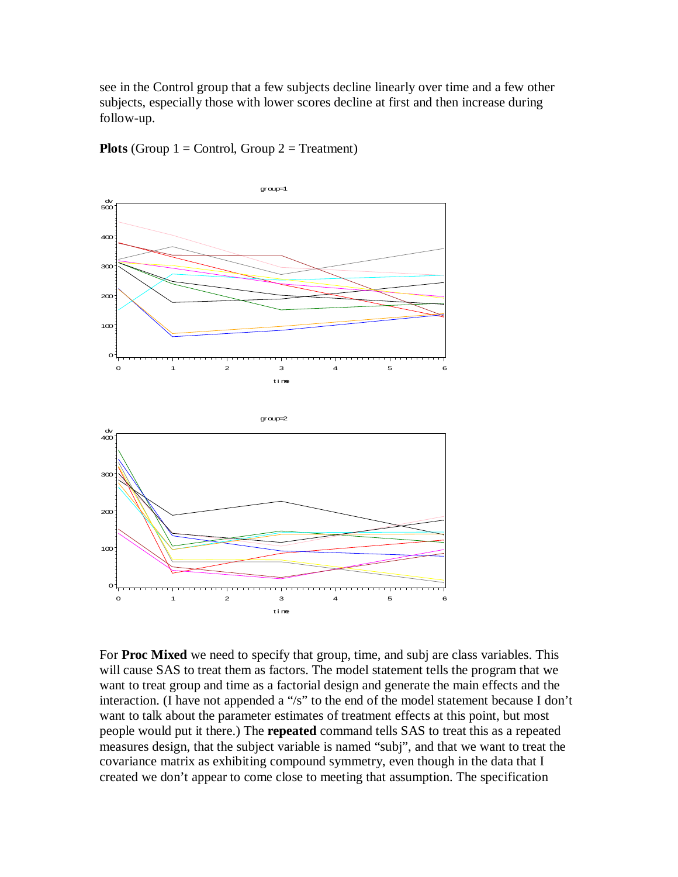see in the Control group that a few subjects decline linearly over time and a few other subjects, especially those with lower scores decline at first and then increase during follow-up.



**Plots** (Group  $1 =$  Control, Group  $2 =$  Treatment)

For **Proc Mixed** we need to specify that group, time, and subj are class variables. This will cause SAS to treat them as factors. The model statement tells the program that we want to treat group and time as a factorial design and generate the main effects and the interaction. (I have not appended a "/s" to the end of the model statement because I don't want to talk about the parameter estimates of treatment effects at this point, but most people would put it there.) The **repeated** command tells SAS to treat this as a repeated measures design, that the subject variable is named "subj", and that we want to treat the covariance matrix as exhibiting compound symmetry, even though in the data that I created we don't appear to come close to meeting that assumption. The specification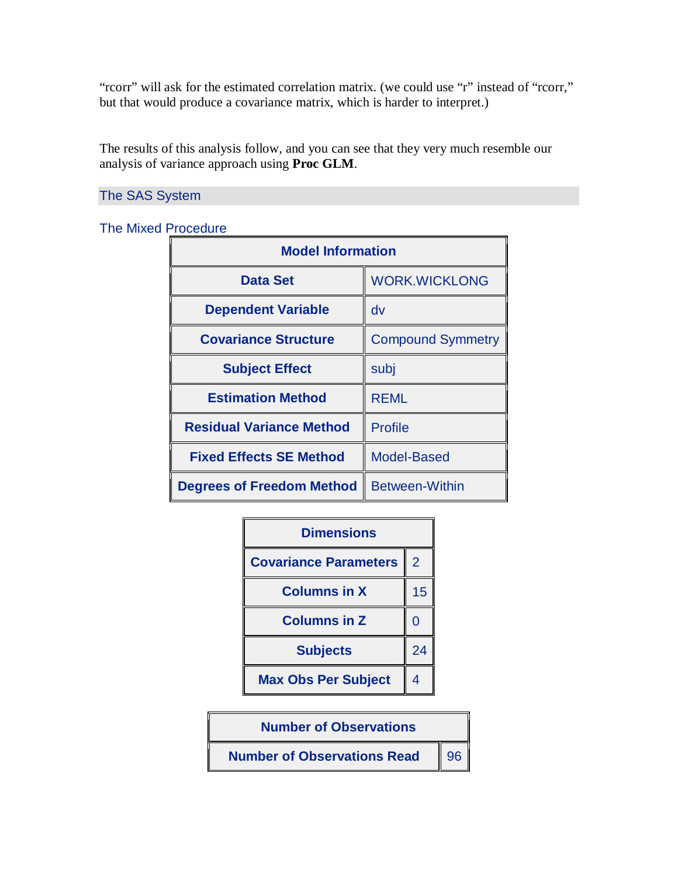"rcorr" will ask for the estimated correlation matrix. (we could use "r" instead of "rcorr," but that would produce a covariance matrix, which is harder to interpret.)

The results of this analysis follow, and you can see that they very much resemble our analysis of variance approach using **Proc GLM**.

The SAS System

The Mixed Procedure

| <b>Model Information</b>         |                          |  |  |  |
|----------------------------------|--------------------------|--|--|--|
| <b>Data Set</b>                  | <b>WORK.WICKLONG</b>     |  |  |  |
| <b>Dependent Variable</b>        | dv                       |  |  |  |
| <b>Covariance Structure</b>      | <b>Compound Symmetry</b> |  |  |  |
| <b>Subject Effect</b>            | subj                     |  |  |  |
| <b>Estimation Method</b>         | <b>REML</b>              |  |  |  |
| <b>Residual Variance Method</b>  | <b>Profile</b>           |  |  |  |
| <b>Fixed Effects SE Method</b>   | <b>Model-Based</b>       |  |  |  |
| <b>Degrees of Freedom Method</b> | <b>Between-Within</b>    |  |  |  |



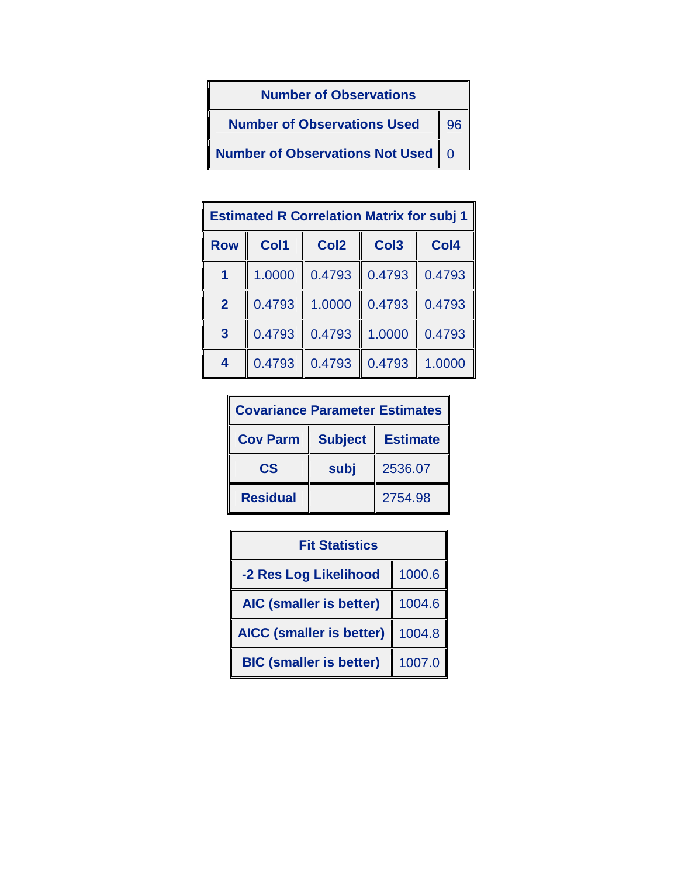

| <b>Estimated R Correlation Matrix for subj 1</b> |        |                  |                  |        |  |
|--------------------------------------------------|--------|------------------|------------------|--------|--|
| <b>Row</b>                                       | Col1   | Col <sub>2</sub> | Col <sub>3</sub> | Col4   |  |
|                                                  | 1.0000 | 0.4793           | 0.4793           | 0.4793 |  |
| $\overline{2}$                                   | 0.4793 | 1.0000           | 0.4793           | 0.4793 |  |
| $\overline{3}$                                   | 0.4793 | 0.4793           | 1.0000           | 0.4793 |  |
| 4                                                | 0.4793 | 0.4793           | 0.4793           | 1.0000 |  |

| <b>Covariance Parameter Estimates</b> |                |                 |  |  |
|---------------------------------------|----------------|-----------------|--|--|
| <b>Cov Parm</b>                       | <b>Subject</b> | <b>Estimate</b> |  |  |
| $\mathbf{c}\mathbf{s}$                | subj           | 2536.07         |  |  |
| <b>Residual</b>                       |                | 2754.98         |  |  |

| <b>Fit Statistics</b>           |        |  |  |
|---------------------------------|--------|--|--|
| -2 Res Log Likelihood           | 1000.6 |  |  |
| <b>AIC (smaller is better)</b>  | 1004.6 |  |  |
| <b>AICC (smaller is better)</b> | 1004.8 |  |  |
| <b>BIC (smaller is better)</b>  | 1007.0 |  |  |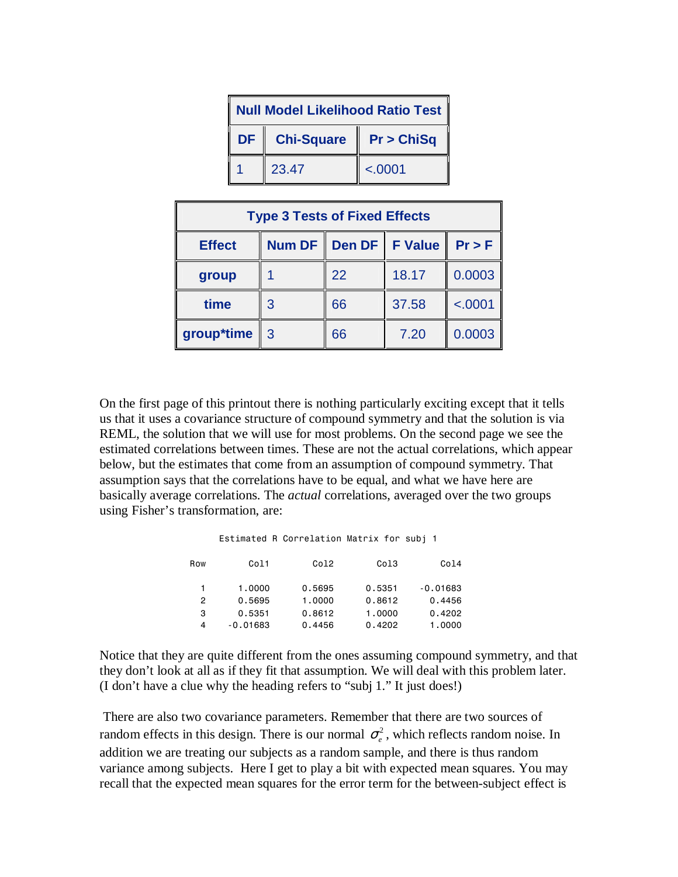| <b>Null Model Likelihood Ratio Test  </b> |                   |            |  |
|-------------------------------------------|-------------------|------------|--|
| <b>DF</b>                                 | <b>Chi-Square</b> | Pr > ChiSq |  |
|                                           | 23.47             | < .0001    |  |

| <b>Type 3 Tests of Fixed Effects</b> |        |                  |       |         |  |
|--------------------------------------|--------|------------------|-------|---------|--|
| <b>Effect</b>                        | Num DF | Den DF   F Value |       | Pr > F  |  |
| group                                |        | 22               | 18.17 | 0.0003  |  |
| time                                 | 3      | 66               | 37.58 | < .0001 |  |
| group*time                           | -3     | 66               | 7.20  | 0.0003  |  |

On the first page of this printout there is nothing particularly exciting except that it tells us that it uses a covariance structure of compound symmetry and that the solution is via REML, the solution that we will use for most problems. On the second page we see the estimated correlations between times. These are not the actual correlations, which appear below, but the estimates that come from an assumption of compound symmetry. That assumption says that the correlations have to be equal, and what we have here are basically average correlations. The *actual* correlations, averaged over the two groups using Fisher's transformation, are:

|  | Estimated R Correlation Matrix for subi 1 |  |  |
|--|-------------------------------------------|--|--|
|  |                                           |  |  |

| Row | Col1       | Co12   | Col3   | Col4       |
|-----|------------|--------|--------|------------|
|     | 1.0000     | 0.5695 | 0.5351 | $-0.01683$ |
| 2   | 0.5695     | 1,0000 | 0.8612 | 0.4456     |
| 3   | 0.5351     | 0.8612 | 1,0000 | 0.4202     |
| 4   | $-0.01683$ | 0.4456 | 0.4202 | 1,0000     |

Notice that they are quite different from the ones assuming compound symmetry, and that they don't look at all as if they fit that assumption. We will deal with this problem later. (I don't have a clue why the heading refers to "subj 1." It just does!)

 There are also two covariance parameters. Remember that there are two sources of random effects in this design. There is our normal  $\sigma_e^2$ , which reflects random noise. In addition we are treating our subjects as a random sample, and there is thus random variance among subjects. Here I get to play a bit with expected mean squares. You may recall that the expected mean squares for the error term for the between-subject effect is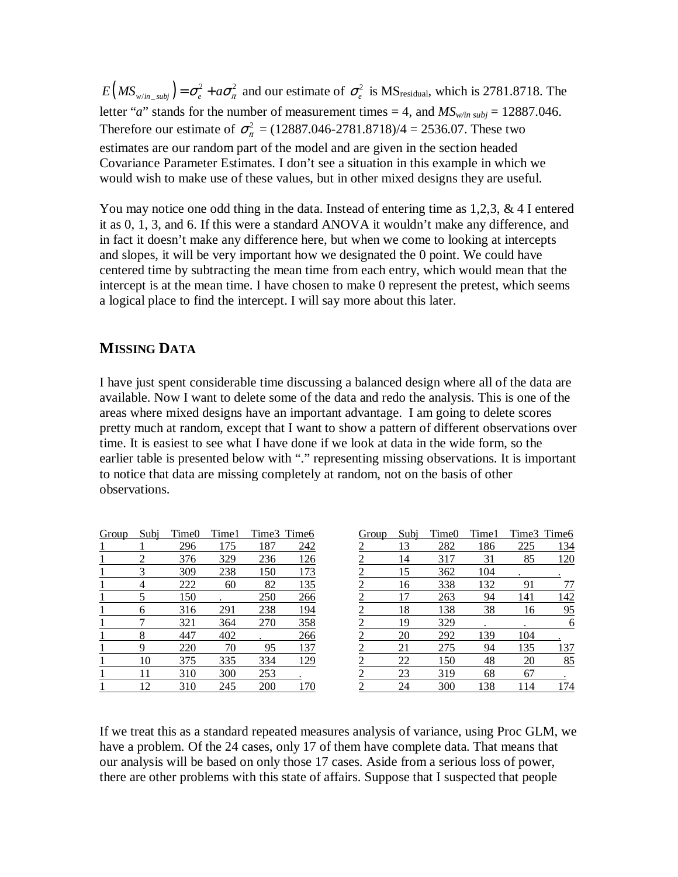$E(MS_{w/in\_subj}) = \sigma_e^2 + a\sigma_{\pi}^2$  and our estimate of  $\sigma_e^2$  is MS<sub>residual</sub>, which is 2781.8718. The letter "*a*" stands for the number of measurement times = 4, and  $MS<sub>w/in subj</sub>$  = 12887.046. Therefore our estimate of  $\sigma_{\pi}^2$  = (12887.046-2781.8718)/4 = 2536.07. These two estimates are our random part of the model and are given in the section headed Covariance Parameter Estimates. I don't see a situation in this example in which we would wish to make use of these values, but in other mixed designs they are useful.

You may notice one odd thing in the data. Instead of entering time as 1,2,3, & 4 I entered it as 0, 1, 3, and 6. If this were a standard ANOVA it wouldn't make any difference, and in fact it doesn't make any difference here, but when we come to looking at intercepts and slopes, it will be very important how we designated the 0 point. We could have centered time by subtracting the mean time from each entry, which would mean that the intercept is at the mean time. I have chosen to make 0 represent the pretest, which seems a logical place to find the intercept. I will say more about this later.

## **MISSING DATA**

I have just spent considerable time discussing a balanced design where all of the data are available. Now I want to delete some of the data and redo the analysis. This is one of the areas where mixed designs have an important advantage. I am going to delete scores pretty much at random, except that I want to show a pattern of different observations over time. It is easiest to see what I have done if we look at data in the wide form, so the earlier table is presented below with "." representing missing observations. It is important to notice that data are missing completely at random, not on the basis of other observations.

| Group | Subi | Time <sub>0</sub> | Time1 |     | Time3 Time6 |                                |
|-------|------|-------------------|-------|-----|-------------|--------------------------------|
|       |      | 296               | 175   | 187 | 242         |                                |
|       |      | 376               | 329   | 236 | 126         | $\frac{2}{2}$                  |
|       |      | 309               | 238   | 150 | 173         |                                |
|       | 4    | 222               | 60    | 82  | 135         |                                |
|       | 5    | 150               |       | 250 | 266         |                                |
|       | 6    | 316               | 291   | 238 | 194         |                                |
|       |      | 321               | 364   | 270 | 358         |                                |
|       | 8    | 447               | 402   |     | 266         |                                |
|       | Q    | 220               | 70    | 95  | 137         |                                |
|       | 10   | 375               | 335   | 334 | 129         |                                |
|       |      | 310               | 300   | 253 |             |                                |
|       | 12   | 310               | 245   | 200 | 170         | KA INA INA INA INA INA INA INA |

| Group          | Subi      | Time <sub>0</sub> | Time1 | Time3 | Time <sub>6</sub> |
|----------------|-----------|-------------------|-------|-------|-------------------|
| $\overline{c}$ | 13        | 282               | 186   | 225   | 134               |
| 2              | 14        | 317               | 31    | 85    | 120               |
| $\overline{2}$ | 15        | 362               | 104   |       |                   |
| $\overline{2}$ | 16        | 338               | 132   | 91    | 77                |
| $\overline{2}$ | 17        | 263               | 94    | 141   | 142               |
| $\overline{2}$ | 18        | 138               | 38    | 16    | 95                |
| $\overline{2}$ | 19        | 329               |       |       | 6                 |
| $\overline{2}$ | 20        | 292               | 139   | 104   |                   |
| $\overline{2}$ | 21        | 275               | 94    | 135   | 137               |
| $\overline{2}$ | <u>22</u> | 150               | 48    | 20    | 85                |
| $\overline{c}$ | 23        | 319               | 68    | 67    |                   |
| $\overline{c}$ | 24        | 300               | 138   | 114   | 174               |

If we treat this as a standard repeated measures analysis of variance, using Proc GLM, we have a problem. Of the 24 cases, only 17 of them have complete data. That means that our analysis will be based on only those 17 cases. Aside from a serious loss of power, there are other problems with this state of affairs. Suppose that I suspected that people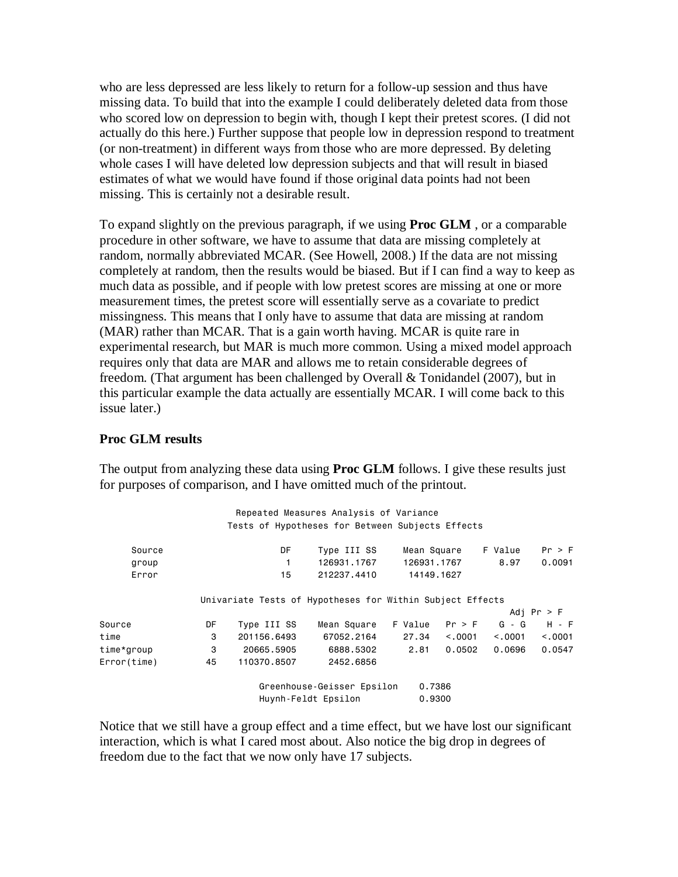who are less depressed are less likely to return for a follow-up session and thus have missing data. To build that into the example I could deliberately deleted data from those who scored low on depression to begin with, though I kept their pretest scores. (I did not actually do this here.) Further suppose that people low in depression respond to treatment (or non-treatment) in different ways from those who are more depressed. By deleting whole cases I will have deleted low depression subjects and that will result in biased estimates of what we would have found if those original data points had not been missing. This is certainly not a desirable result.

To expand slightly on the previous paragraph, if we using **Proc GLM** , or a comparable procedure in other software, we have to assume that data are missing completely at random, normally abbreviated MCAR. (See Howell, 2008.) If the data are not missing completely at random, then the results would be biased. But if I can find a way to keep as much data as possible, and if people with low pretest scores are missing at one or more measurement times, the pretest score will essentially serve as a covariate to predict missingness. This means that I only have to assume that data are missing at random (MAR) rather than MCAR. That is a gain worth having. MCAR is quite rare in experimental research, but MAR is much more common. Using a mixed model approach requires only that data are MAR and allows me to retain considerable degrees of freedom. (That argument has been challenged by Overall & Tonidandel (2007), but in this particular example the data actually are essentially MCAR. I will come back to this issue later.)

#### **Proc GLM results**

The output from analyzing these data using **Proc GLM** follows. I give these results just for purposes of comparison, and I have omitted much of the printout.

| Repeated Measures Analysis of Variance |    |                                                           |                                                   |                  |         |         |              |
|----------------------------------------|----|-----------------------------------------------------------|---------------------------------------------------|------------------|---------|---------|--------------|
|                                        |    | Tests of Hypotheses for Between Subjects Effects          |                                                   |                  |         |         |              |
| Source                                 |    | DF                                                        | Type III SS                                       | Mean Square      |         | F Value | Pr > F       |
| group                                  |    |                                                           | 126931.1767                                       | 126931.1767      |         | 8.97    | 0.0091       |
| Error                                  |    | 15                                                        | 212237.4410                                       | 14149.1627       |         |         |              |
|                                        |    | Univariate Tests of Hypotheses for Within Subject Effects |                                                   |                  |         |         | Adi Pr $>$ F |
| Source                                 | DF | Type III SS                                               | Mean Square                                       | F Value          | Pr > F  | $G - G$ | $H - F$      |
| time                                   | 3  | 201156.6493                                               | 67052.2164                                        | 27.34            | < 0.001 | < 0.001 | < 0.001      |
| time*group                             | 3  | 20665.5905                                                | 6888.5302                                         | 2.81             | 0.0502  | 0.0696  | 0.0547       |
| Error(time)                            | 45 | 110370.8507                                               | 2452.6856                                         |                  |         |         |              |
|                                        |    |                                                           | Greenhouse-Geisser Epsilon<br>Huynh-Feldt Epsilon | 0.7386<br>0.9300 |         |         |              |

Notice that we still have a group effect and a time effect, but we have lost our significant interaction, which is what I cared most about. Also notice the big drop in degrees of freedom due to the fact that we now only have 17 subjects.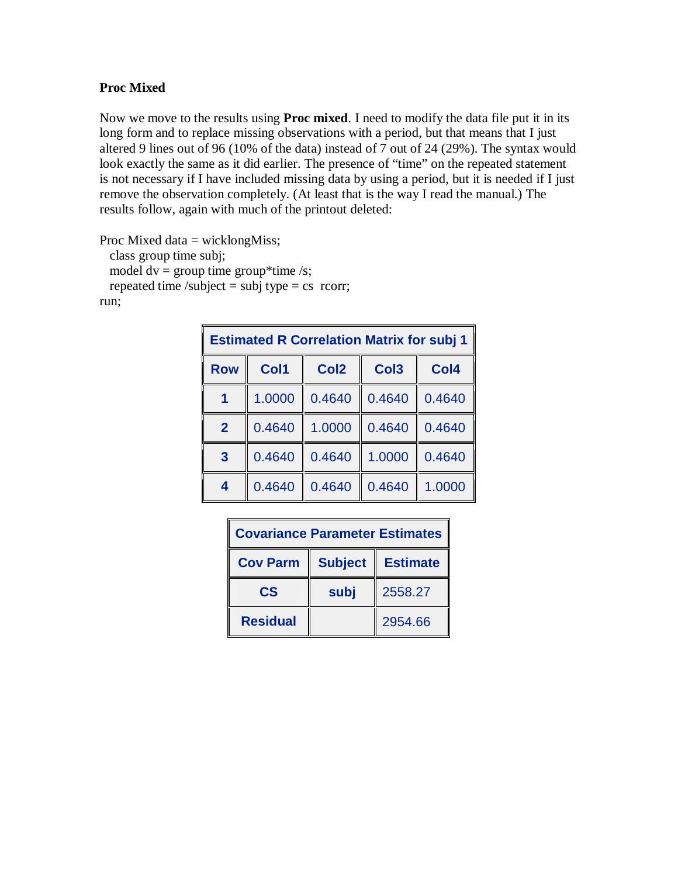## **Proc Mixed**

Now we move to the results using **Proc mixed**. I need to modify the data file put it in its long form and to replace missing observations with a period, but that means that I just altered 9 lines out of 96 (10% of the data) instead of 7 out of 24 (29%). The syntax would look exactly the same as it did earlier. The presence of "time" on the repeated statement is not necessary if I have included missing data by using a period, but it is needed if I just remove the observation completely. (At least that is the way I read the manual.) The results follow, again with much of the printout deleted:

Proc Mixed data = wicklongMiss; class group time subj; model  $dv =$  group time group\*time /s; repeated time /subject = subj type = cs rcorr; run;

| <b>Estimated R Correlation Matrix for subj 1</b> |        |                  |                  |                  |  |
|--------------------------------------------------|--------|------------------|------------------|------------------|--|
| <b>Row</b>                                       | Col1   | Col <sub>2</sub> | Col <sub>3</sub> | Col <sub>4</sub> |  |
| 1                                                | 1.0000 | 0.4640           | 0.4640           | 0.4640           |  |
| $\overline{2}$                                   | 0.4640 | 1.0000           | 0.4640           | 0.4640           |  |
| $\overline{3}$                                   | 0.4640 | 0.4640           | 1.0000           | 0.4640           |  |
| $\overline{\mathbf{4}}$                          | 0.4640 | 0.4640           | 0.4640           | 1.0000           |  |

| <b>Covariance Parameter Estimates</b> |                |                 |  |
|---------------------------------------|----------------|-----------------|--|
| <b>Cov Parm</b>                       | <b>Subject</b> | <b>Estimate</b> |  |
| $\mathbf{c}\mathbf{s}$                | subj           | 2558.27         |  |
| <b>Residual</b>                       |                | 2954.66         |  |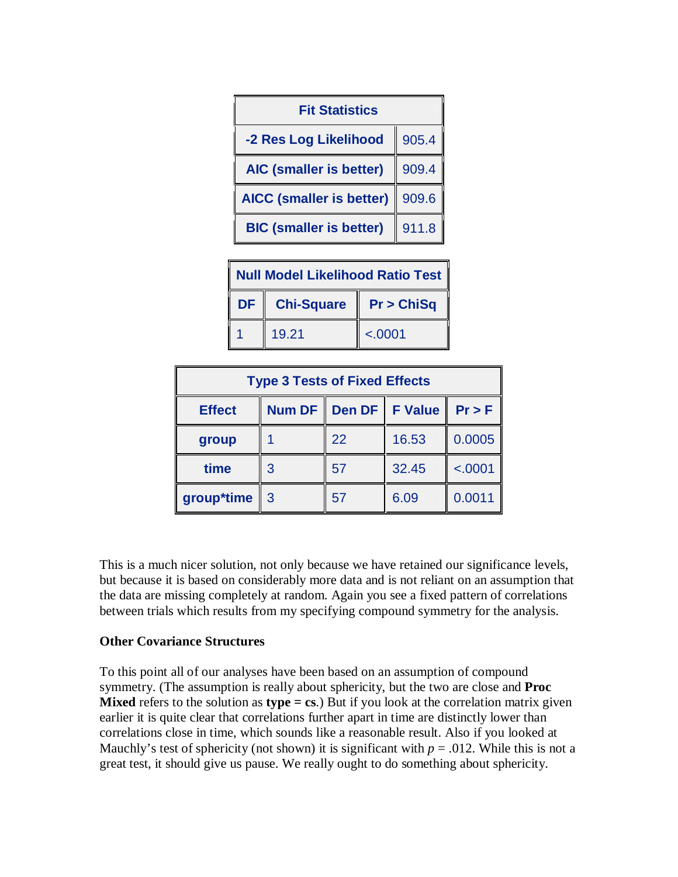

| Null Model Likelihood Ratio Test |                 |                      |  |
|----------------------------------|-----------------|----------------------|--|
|                                  | DF   Chi-Square | <b>Pr &gt; ChiSq</b> |  |
|                                  | 19.21           | < .0001              |  |

| <b>Type 3 Tests of Fixed Effects</b> |                    |                  |       |          |  |
|--------------------------------------|--------------------|------------------|-------|----------|--|
| <b>Effect</b>                        | Num DF $\parallel$ | Den DF   F Value |       | $Pr$ > F |  |
| group                                |                    | 22               | 16.53 | 0.0005   |  |
| time                                 | 3                  | 57               | 32.45 | < .0001  |  |
| group*time                           | -3                 | 57               | 6.09  | 0.0011   |  |

This is a much nicer solution, not only because we have retained our significance levels, but because it is based on considerably more data and is not reliant on an assumption that the data are missing completely at random. Again you see a fixed pattern of correlations between trials which results from my specifying compound symmetry for the analysis.

#### **Other Covariance Structures**

To this point all of our analyses have been based on an assumption of compound symmetry. (The assumption is really about sphericity, but the two are close and **Proc Mixed** refers to the solution as **type = cs**.) But if you look at the correlation matrix given earlier it is quite clear that correlations further apart in time are distinctly lower than correlations close in time, which sounds like a reasonable result. Also if you looked at Mauchly's test of sphericity (not shown) it is significant with  $p = .012$ . While this is not a great test, it should give us pause. We really ought to do something about sphericity.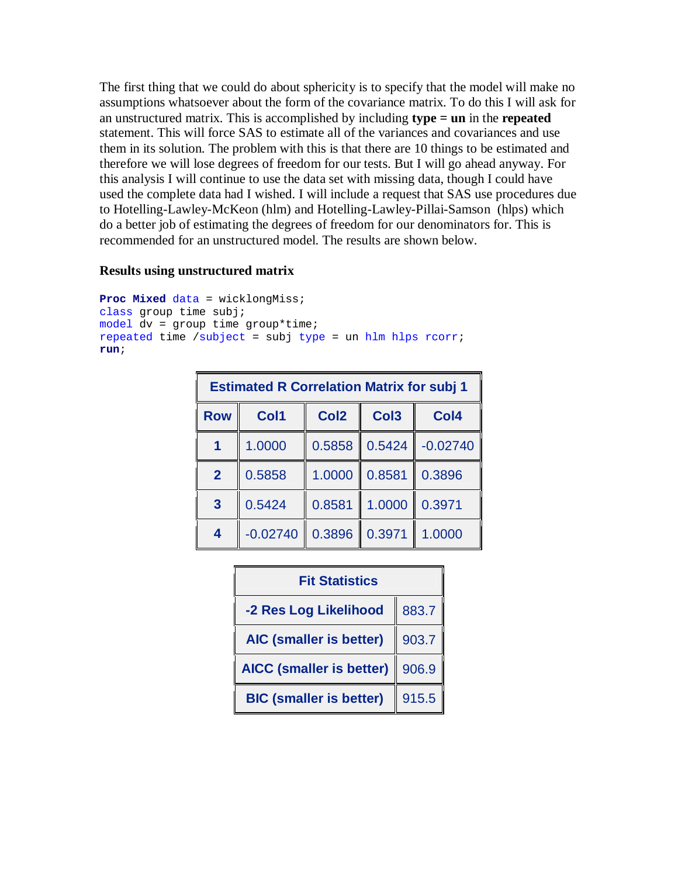The first thing that we could do about sphericity is to specify that the model will make no assumptions whatsoever about the form of the covariance matrix. To do this I will ask for an unstructured matrix. This is accomplished by including **type = un** in the **repeated** statement. This will force SAS to estimate all of the variances and covariances and use them in its solution. The problem with this is that there are 10 things to be estimated and therefore we will lose degrees of freedom for our tests. But I will go ahead anyway. For this analysis I will continue to use the data set with missing data, though I could have used the complete data had I wished. I will include a request that SAS use procedures due to Hotelling-Lawley-McKeon (hlm) and Hotelling-Lawley-Pillai-Samson (hlps) which do a better job of estimating the degrees of freedom for our denominators for. This is recommended for an unstructured model. The results are shown below.

#### **Results using unstructured matrix**

```
Proc Mixed data = wicklongMiss; 
class group time subj; 
model dv = group time group*time; 
repeated time /subject = subj type = un hlm hlps rcorr; 
run;
```

| <b>Estimated R Correlation Matrix for subj 1</b> |            |                  |                  |                  |  |
|--------------------------------------------------|------------|------------------|------------------|------------------|--|
| <b>Row</b>                                       | Col1       | Col <sub>2</sub> | Col <sub>3</sub> | Col <sub>4</sub> |  |
| 1                                                | 1.0000     | 0.5858           | 0.5424           | $-0.02740$       |  |
| $\overline{2}$                                   | 0.5858     | 1.0000           | 0.8581           | 0.3896           |  |
| $\overline{3}$                                   | 0.5424     | 0.8581           | 1.0000           | 0.3971           |  |
| 4                                                | $-0.02740$ | 0.3896           | 0.3971           | 1.0000           |  |

| <b>Fit Statistics</b>           |       |  |  |
|---------------------------------|-------|--|--|
| -2 Res Log Likelihood           | 883.7 |  |  |
| <b>AIC (smaller is better)</b>  | 903.7 |  |  |
| <b>AICC (smaller is better)</b> | 906.9 |  |  |
| <b>BIC (smaller is better)</b>  | 915.5 |  |  |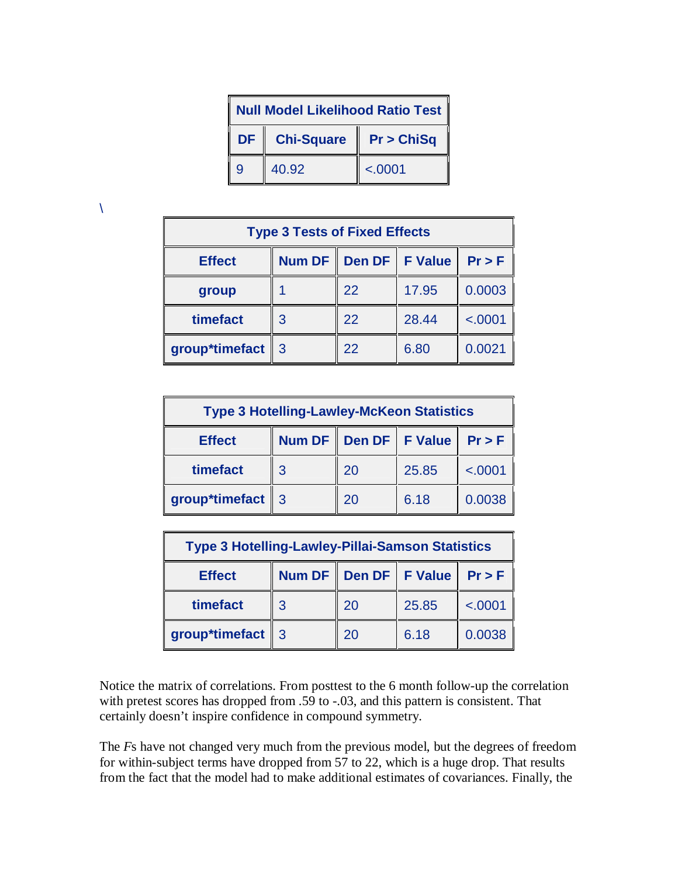| <b>Null Model Likelihood Ratio Test</b> |                   |            |  |
|-----------------------------------------|-------------------|------------|--|
| DF                                      | <b>Chi-Square</b> | Pr > ChiSq |  |
| 9                                       | 40.92             | < .0001    |  |

 $\lambda$ 

| <b>Type 3 Tests of Fixed Effects</b>                         |   |    |       |         |  |
|--------------------------------------------------------------|---|----|-------|---------|--|
| Den DF   F Value<br><b>Num DF</b><br>Pr > F<br><b>Effect</b> |   |    |       |         |  |
| group                                                        |   | 22 | 17.95 | 0.0003  |  |
| timefact                                                     | З | 22 | 28.44 | < .0001 |  |
| group*timefact $\parallel$ 3                                 |   | 22 | 6.80  | 0.0021  |  |

| <b>Type 3 Hotelling-Lawley-McKeon Statistics</b>             |   |    |       |         |
|--------------------------------------------------------------|---|----|-------|---------|
| Den DF   F Value<br><b>Num DF</b><br>Pr > F<br><b>Effect</b> |   |    |       |         |
| timefact                                                     | З | 20 | 25.85 | < .0001 |
| group*timefact   3                                           |   | 20 | 6.18  | 0.0038  |

| <b>Type 3 Hotelling-Lawley-Pillai-Samson Statistics</b> |                                             |    |       |         |  |
|---------------------------------------------------------|---------------------------------------------|----|-------|---------|--|
| <b>Effect</b>                                           | Den DF   F Value<br><b>Num DF</b><br>Pr > F |    |       |         |  |
| timefact                                                | З                                           | 20 | 25.85 | < .0001 |  |
| group*timefact                                          | -3                                          | 20 | 6.18  | 0.0038  |  |

Notice the matrix of correlations. From posttest to the 6 month follow-up the correlation with pretest scores has dropped from .59 to -.03, and this pattern is consistent. That certainly doesn't inspire confidence in compound symmetry.

The *F*s have not changed very much from the previous model, but the degrees of freedom for within-subject terms have dropped from 57 to 22, which is a huge drop. That results from the fact that the model had to make additional estimates of covariances. Finally, the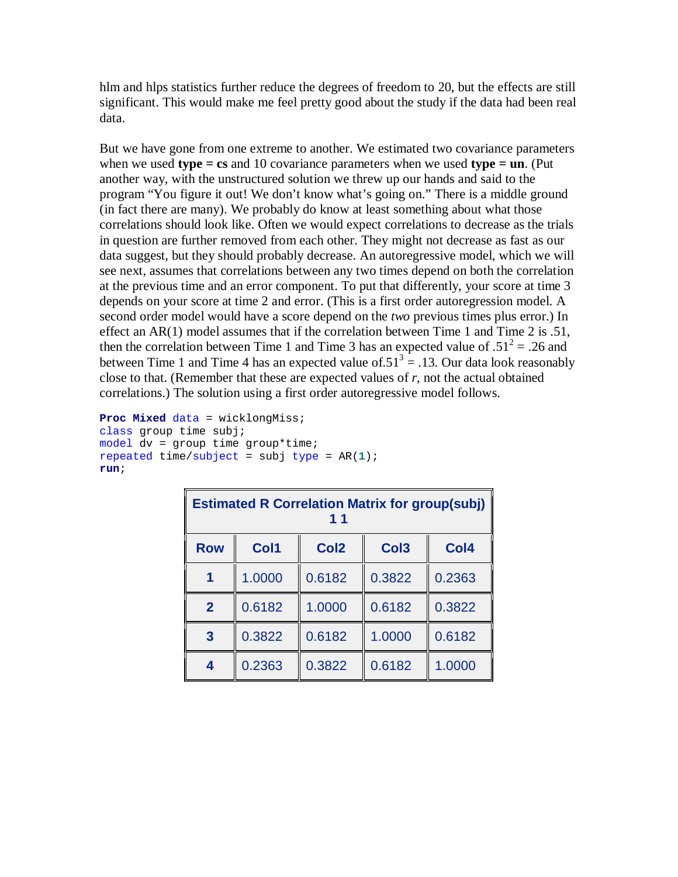hlm and hlps statistics further reduce the degrees of freedom to 20, but the effects are still significant. This would make me feel pretty good about the study if the data had been real data.

But we have gone from one extreme to another. We estimated two covariance parameters when we used **type = cs** and 10 covariance parameters when we used **type = un**. (Put another way, with the unstructured solution we threw up our hands and said to the program "You figure it out! We don't know what's going on." There is a middle ground (in fact there are many). We probably do know at least something about what those correlations should look like. Often we would expect correlations to decrease as the trials in question are further removed from each other. They might not decrease as fast as our data suggest, but they should probably decrease. An autoregressive model, which we will see next, assumes that correlations between any two times depend on both the correlation at the previous time and an error component. To put that differently, your score at time 3 depends on your score at time 2 and error. (This is a first order autoregression model. A second order model would have a score depend on the *two* previous times plus error.) In effect an AR(1) model assumes that if the correlation between Time 1 and Time 2 is .51, then the correlation between Time 1 and Time 3 has an expected value of  $.51^2 = .26$  and between Time 1 and Time 4 has an expected value of  $51<sup>3</sup> = .13$ . Our data look reasonably close to that. (Remember that these are expected values of  $r$ , not the actual obtained correlations.) The solution using a first order autoregressive model follows.

```
Proc Mixed data = wicklongMiss; 
class group time subj; 
model dv = group time group*time; 
repeated time/subject = subj type = AR(1); 
run;
```

| <b>Estimated R Correlation Matrix for group(subj)</b><br>11 |        |                  |                  |                  |  |
|-------------------------------------------------------------|--------|------------------|------------------|------------------|--|
| <b>Row</b>                                                  | Col1   | Col <sub>2</sub> | Col <sub>3</sub> | Col <sub>4</sub> |  |
|                                                             | 1.0000 | 0.6182           | 0.3822           | 0.2363           |  |
| $\overline{2}$                                              | 0.6182 | 1.0000           | 0.6182           | 0.3822           |  |
| $\mathbf{3}$                                                | 0.3822 | 0.6182           | 1.0000           | 0.6182           |  |
| $\overline{\mathbf{4}}$                                     | 0.2363 | 0.3822           | 0.6182           | 1.0000           |  |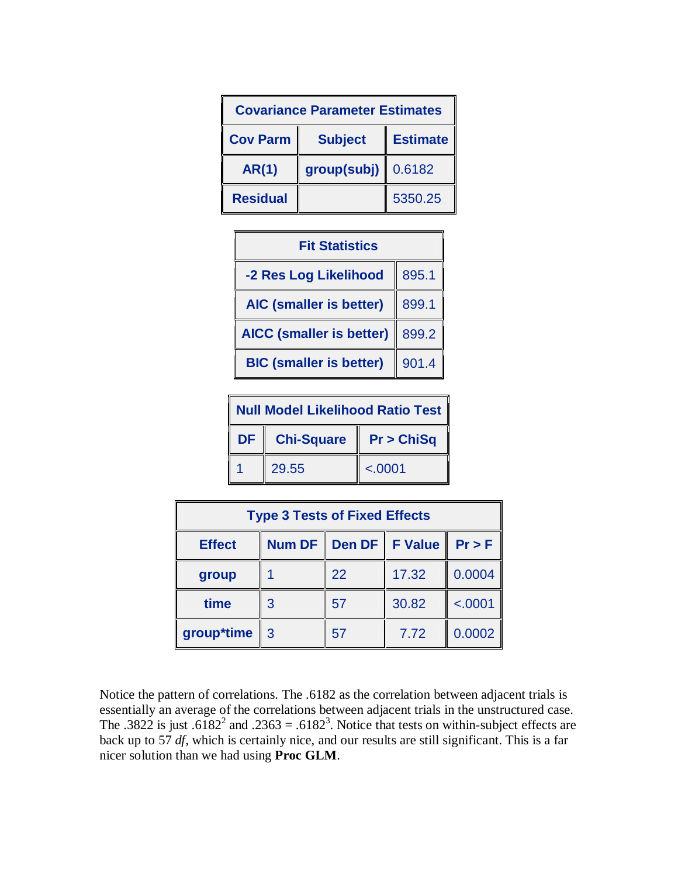| <b>Covariance Parameter Estimates</b> |                |                 |  |  |
|---------------------------------------|----------------|-----------------|--|--|
| <b>Cov Parm</b>                       | <b>Subject</b> | <b>Estimate</b> |  |  |
| <b>AR(1)</b>                          | group(subj)    | 0.6182          |  |  |
| <b>Residual</b>                       |                | 5350.25         |  |  |



| Null Model Likelihood Ratio Test |                   |            |  |
|----------------------------------|-------------------|------------|--|
| <b>DF</b>                        | <b>Chi-Square</b> | Pr > ChiSq |  |
|                                  | 29.55             | < .0001    |  |

| <b>Type 3 Tests of Fixed Effects</b> |        |               |                     |          |  |
|--------------------------------------|--------|---------------|---------------------|----------|--|
| <b>Effect</b>                        | Num DF | <b>Den DF</b> | <b>F</b> Value<br>Ш | $Pr$ > F |  |
| group                                |        | 22            | 17.32               | 0.0004   |  |
| time                                 | 3      | 57            | 30.82               | < .0001  |  |
| group*time                           | 3      | 57            | 7.72                | 0.0002   |  |

Notice the pattern of correlations. The .6182 as the correlation between adjacent trials is essentially an average of the correlations between adjacent trials in the unstructured case. The .3822 is just .6182<sup>2</sup> and .2363 = .6182<sup>3</sup>. Notice that tests on within-subject effects are back up to 57 *df*, which is certainly nice, and our results are still significant. This is a far nicer solution than we had using **Proc GLM**.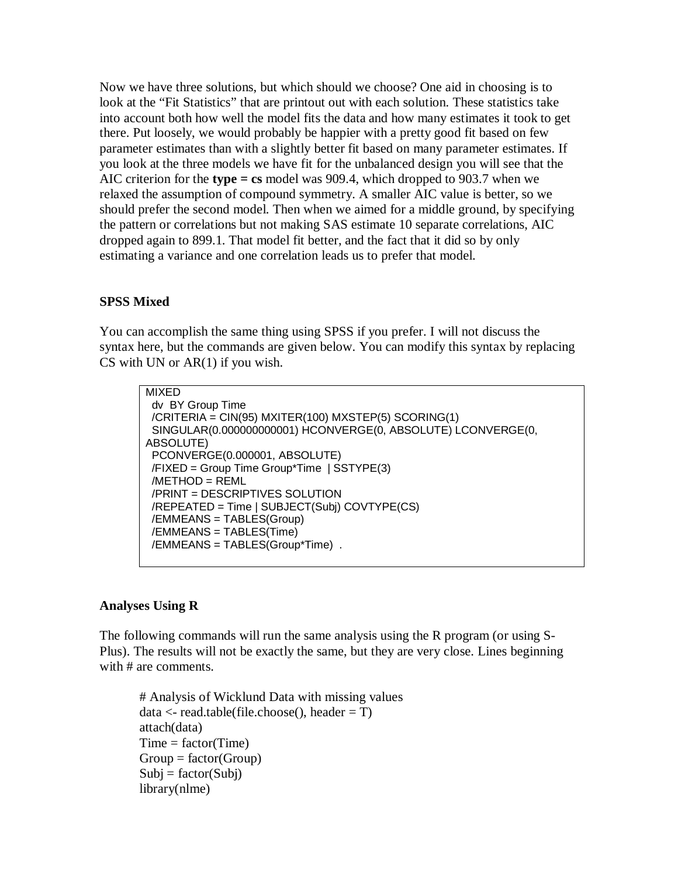Now we have three solutions, but which should we choose? One aid in choosing is to look at the "Fit Statistics" that are printout out with each solution. These statistics take into account both how well the model fits the data and how many estimates it took to get there. Put loosely, we would probably be happier with a pretty good fit based on few parameter estimates than with a slightly better fit based on many parameter estimates. If you look at the three models we have fit for the unbalanced design you will see that the AIC criterion for the **type = cs** model was 909.4, which dropped to 903.7 when we relaxed the assumption of compound symmetry. A smaller AIC value is better, so we should prefer the second model. Then when we aimed for a middle ground, by specifying the pattern or correlations but not making SAS estimate 10 separate correlations, AIC dropped again to 899.1. That model fit better, and the fact that it did so by only estimating a variance and one correlation leads us to prefer that model.

## **SPSS Mixed**

You can accomplish the same thing using SPSS if you prefer. I will not discuss the syntax here, but the commands are given below. You can modify this syntax by replacing CS with UN or  $AR(1)$  if you wish.

```
MIXED 
  dv BY Group Time 
  /CRITERIA = CIN(95) MXITER(100) MXSTEP(5) SCORING(1) 
  SINGULAR(0.000000000001) HCONVERGE(0, ABSOLUTE) LCONVERGE(0, 
ABSOLUTE) 
  PCONVERGE(0.000001, ABSOLUTE) 
  /FIXED = Group Time Group*Time | SSTYPE(3) 
  /METHOD = REML 
  /PRINT = DESCRIPTIVES SOLUTION 
  /REPEATED = Time | SUBJECT(Subj) COVTYPE(CS) 
  /EMMEANS = TABLES(Group) 
  /EMMEANS = TABLES(Time) 
  /EMMEANS = TABLES(Group*Time) .
```
#### **Analyses Using R**

The following commands will run the same analysis using the R program (or using S-Plus). The results will not be exactly the same, but they are very close. Lines beginning with # are comments.

# Analysis of Wicklund Data with missing values  $data < -read_table(filechoose(), header = T)$ attach(data)  $Time = factor(Time)$  $Group = factor(Group)$  $Subj = factor(Subj)$ library(nlme)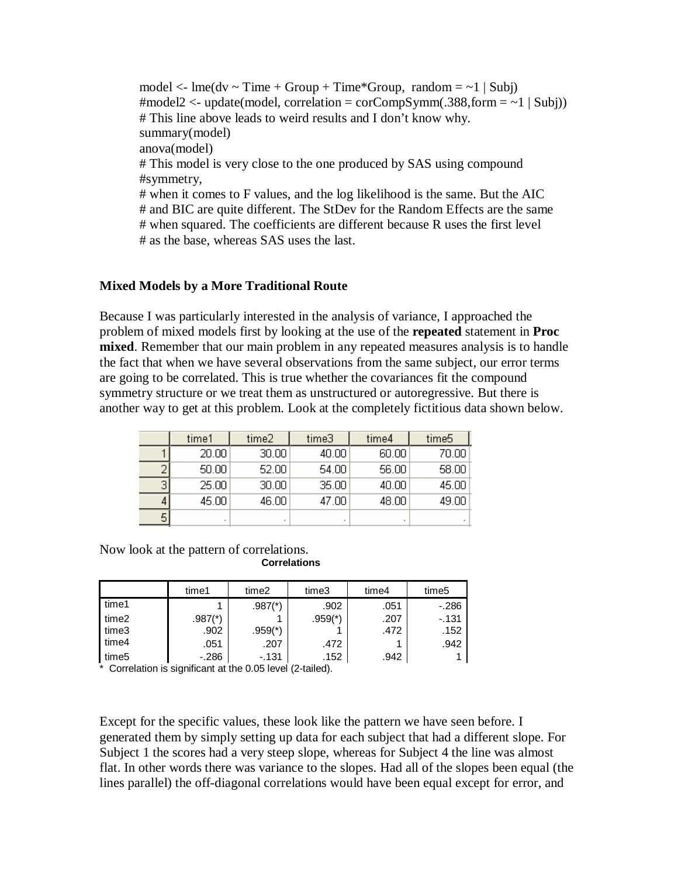model  $\langle$ - lme(dv  $\sim$  Time + Group + Time\*Group, random =  $\sim$ 1 | Subj)  $\#$ model2 <- update(model, correlation = corCompSymm(.388,form = ~1 | Subj)) # This line above leads to weird results and I don't know why. summary(model) anova(model) # This model is very close to the one produced by SAS using compound #symmetry, # when it comes to F values, and the log likelihood is the same. But the AIC # and BIC are quite different. The StDev for the Random Effects are the same # when squared. The coefficients are different because R uses the first level # as the base, whereas SAS uses the last.

#### **Mixed Models by a More Traditional Route**

Because I was particularly interested in the analysis of variance, I approached the problem of mixed models first by looking at the use of the **repeated** statement in **Proc mixed**. Remember that our main problem in any repeated measures analysis is to handle the fact that when we have several observations from the same subject, our error terms are going to be correlated. This is true whether the covariances fit the compound symmetry structure or we treat them as unstructured or autoregressive. But there is another way to get at this problem. Look at the completely fictitious data shown below.

|   | time1  | time2 | time3 | time4 | time5 |
|---|--------|-------|-------|-------|-------|
|   | 20.00  | 30.00 | 40.00 | 60.00 | 70.00 |
|   | 50.00  | 52.00 | 54.00 | 56.00 | 58.00 |
| 3 | 25.00  | 30.00 | 35.00 | 40.00 | 45.00 |
|   | 45.00. | 46.00 | 47.00 | 48.00 | 49.00 |
|   |        |       | ٠     | ٠     | ٠     |

Now look at the pattern of correlations. **Correlations** 

|       | time1                 | time2     | time3     | time4 | time <sub>5</sub> |
|-------|-----------------------|-----------|-----------|-------|-------------------|
| time1 |                       | $.987(*)$ | .902      | .051  | $-.286$           |
| time2 | $.987$ <sup>(*)</sup> |           | $.959(*)$ | .207  | $-131$            |
| time3 | .902                  | $.959(*)$ |           | .472  | .152              |
| time4 | .051                  | .207      | .472      |       | .942              |
| time5 | $-.286$               | $-131$    | .152      | .942  |                   |

\* Correlation is significant at the 0.05 level (2-tailed).

Except for the specific values, these look like the pattern we have seen before. I generated them by simply setting up data for each subject that had a different slope. For Subject 1 the scores had a very steep slope, whereas for Subject 4 the line was almost flat. In other words there was variance to the slopes. Had all of the slopes been equal (the lines parallel) the off-diagonal correlations would have been equal except for error, and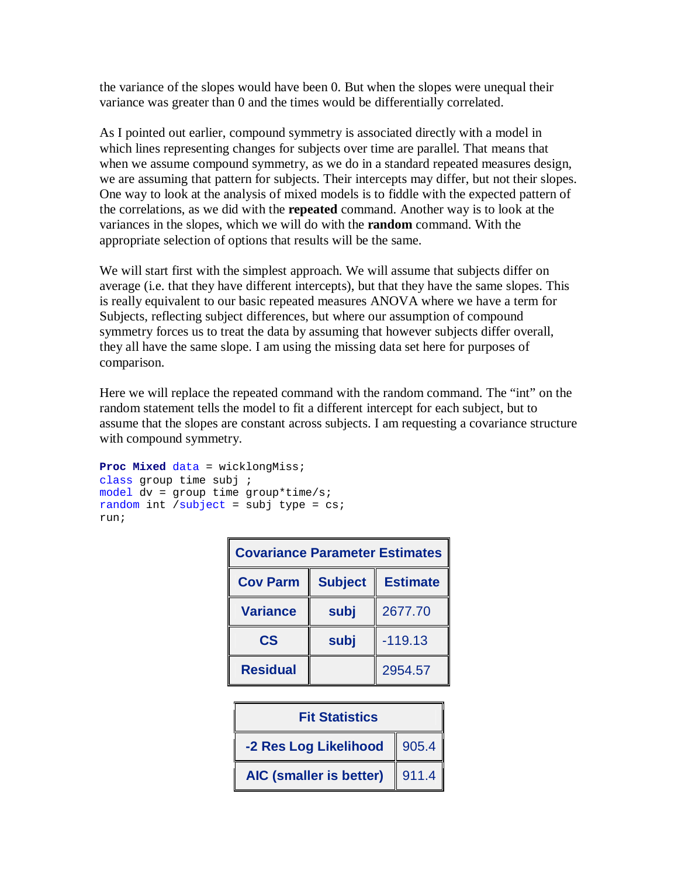the variance of the slopes would have been 0. But when the slopes were unequal their variance was greater than 0 and the times would be differentially correlated.

As I pointed out earlier, compound symmetry is associated directly with a model in which lines representing changes for subjects over time are parallel. That means that when we assume compound symmetry, as we do in a standard repeated measures design, we are assuming that pattern for subjects. Their intercepts may differ, but not their slopes. One way to look at the analysis of mixed models is to fiddle with the expected pattern of the correlations, as we did with the **repeated** command. Another way is to look at the variances in the slopes, which we will do with the **random** command. With the appropriate selection of options that results will be the same.

We will start first with the simplest approach. We will assume that subjects differ on average (i.e. that they have different intercepts), but that they have the same slopes. This is really equivalent to our basic repeated measures ANOVA where we have a term for Subjects, reflecting subject differences, but where our assumption of compound symmetry forces us to treat the data by assuming that however subjects differ overall, they all have the same slope. I am using the missing data set here for purposes of comparison.

Here we will replace the repeated command with the random command. The "int" on the random statement tells the model to fit a different intercept for each subject, but to assume that the slopes are constant across subjects. I am requesting a covariance structure with compound symmetry.

```
Proc Mixed data = wicklongMiss; 
class group time subj ; 
model dv = group time group*time/s; 
random int /subject = subj type = cs;
run;
```

| <b>Covariance Parameter Estimates</b>                |      |           |  |  |  |
|------------------------------------------------------|------|-----------|--|--|--|
| <b>Subject</b><br><b>Cov Parm</b><br><b>Estimate</b> |      |           |  |  |  |
| <b>Variance</b>                                      | subj | 2677.70   |  |  |  |
| $\mathbf{c}\mathbf{s}$                               | subj | $-119.13$ |  |  |  |
| <b>Residual</b>                                      |      | 2954.57   |  |  |  |

| <b>Fit Statistics</b>          |       |  |  |
|--------------------------------|-------|--|--|
| -2 Res Log Likelihood<br>905.4 |       |  |  |
| <b>AIC (smaller is better)</b> | 911.4 |  |  |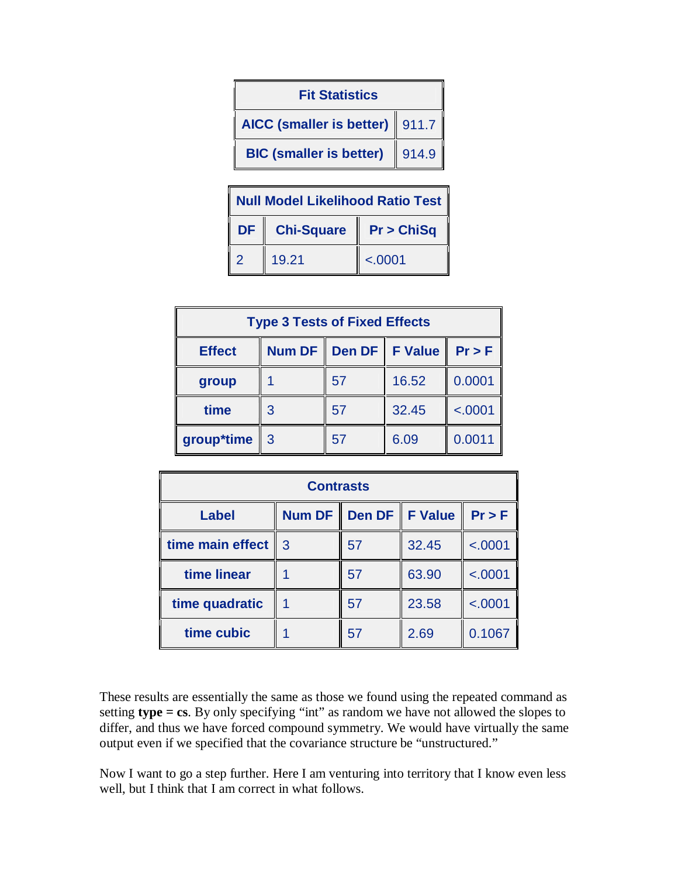| <b>Fit Statistics</b>            |       |  |  |  |
|----------------------------------|-------|--|--|--|
| AICC (smaller is better)   911.7 |       |  |  |  |
| <b>BIC (smaller is better)</b>   | 914.9 |  |  |  |
|                                  |       |  |  |  |

| <b>Null Model Likelihood Ratio Test</b> |                   |             |  |  |
|-----------------------------------------|-------------------|-------------|--|--|
| <b>DF</b>                               | <b>Chi-Square</b> | P r > ChiSq |  |  |
| $\overline{2}$                          | 19.21             | < .0001     |  |  |

| <b>Type 3 Tests of Fixed Effects</b>             |   |    |       |         |  |  |
|--------------------------------------------------|---|----|-------|---------|--|--|
| Num DF Den DF F Value<br>Pr > F<br><b>Effect</b> |   |    |       |         |  |  |
| group                                            |   | 57 | 16.52 | 0.0001  |  |  |
| time                                             | 3 | 57 | 32.45 | < .0001 |  |  |
| group*time<br>-3                                 |   | 57 | 6.09  | 0.0011  |  |  |

| <b>Contrasts</b> |   |                             |                |          |  |
|------------------|---|-----------------------------|----------------|----------|--|
| <b>Label</b>     |   | Num DF   Den DF $\parallel$ | <b>F</b> Value | $Pr$ > F |  |
| time main effect | 3 | 57                          | 32.45          | < .0001  |  |
| time linear      |   | 57                          | 63.90          | < .0001  |  |
| time quadratic   |   | 57                          | 23.58          | < .0001  |  |
| time cubic       |   | 57                          | 2.69           | 0.1067   |  |

These results are essentially the same as those we found using the repeated command as setting **type = cs**. By only specifying "int" as random we have not allowed the slopes to differ, and thus we have forced compound symmetry. We would have virtually the same output even if we specified that the covariance structure be "unstructured."

Now I want to go a step further. Here I am venturing into territory that I know even less well, but I think that I am correct in what follows.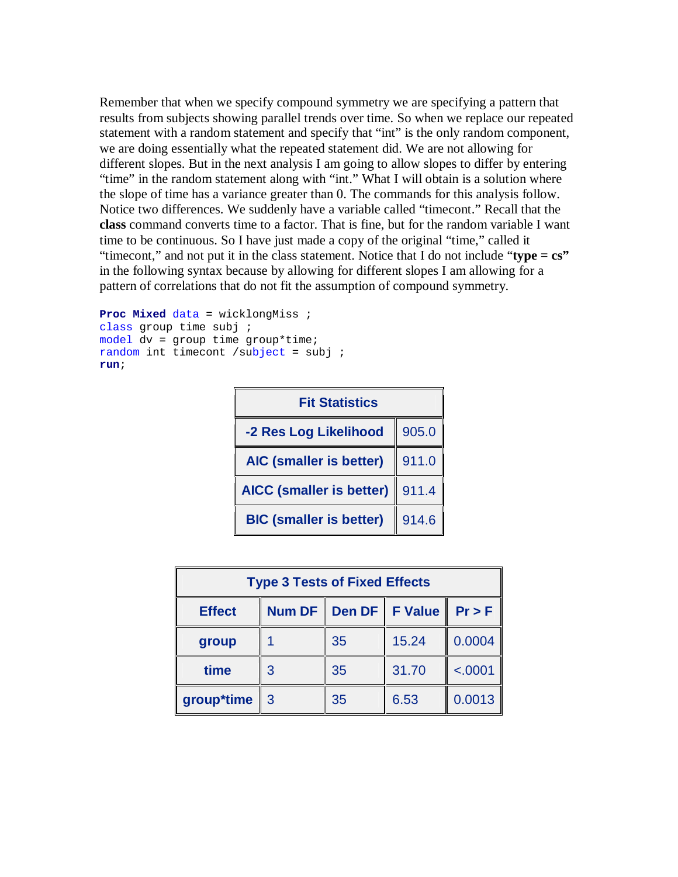Remember that when we specify compound symmetry we are specifying a pattern that results from subjects showing parallel trends over time. So when we replace our repeated statement with a random statement and specify that "int" is the only random component, we are doing essentially what the repeated statement did. We are not allowing for different slopes. But in the next analysis I am going to allow slopes to differ by entering "time" in the random statement along with "int." What I will obtain is a solution where the slope of time has a variance greater than 0. The commands for this analysis follow. Notice two differences. We suddenly have a variable called "timecont." Recall that the **class** command converts time to a factor. That is fine, but for the random variable I want time to be continuous. So I have just made a copy of the original "time," called it "timecont," and not put it in the class statement. Notice that I do not include "**type = cs"**  in the following syntax because by allowing for different slopes I am allowing for a pattern of correlations that do not fit the assumption of compound symmetry.

```
Proc Mixed data = wicklongMiss ; 
class group time subj ; 
model dv = group time group*time; 
random int timecont /subject = subj ; 
run;
```

| <b>Fit Statistics</b>           |       |  |  |
|---------------------------------|-------|--|--|
| -2 Res Log Likelihood           | 905.0 |  |  |
| <b>AIC (smaller is better)</b>  | 911.0 |  |  |
| <b>AICC (smaller is better)</b> | 911.4 |  |  |
| <b>BIC (smaller is better)</b>  | 914.6 |  |  |

| <b>Type 3 Tests of Fixed Effects</b>                     |                |    |       |         |  |  |
|----------------------------------------------------------|----------------|----|-------|---------|--|--|
| Den DF   F Value<br>Num DF   <br>Pr > F<br><b>Effect</b> |                |    |       |         |  |  |
| group                                                    |                | 35 | 15.24 | 0.0004  |  |  |
| time<br>3                                                |                | 35 | 31.70 | < .0001 |  |  |
| group*time                                               | $\overline{3}$ | 35 | 6.53  | 0.0013  |  |  |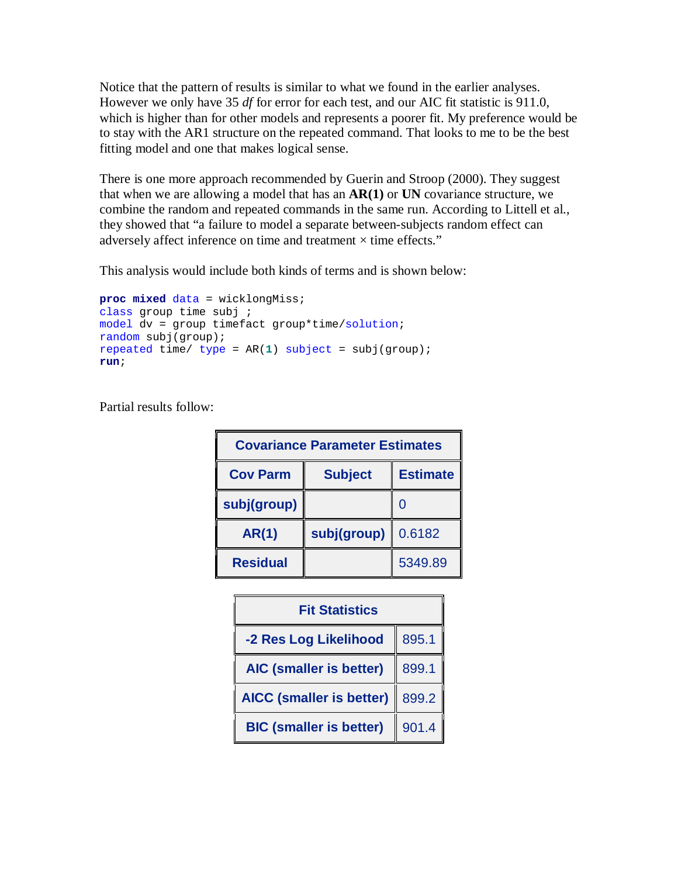Notice that the pattern of results is similar to what we found in the earlier analyses. However we only have 35 *df* for error for each test, and our AIC fit statistic is 911.0, which is higher than for other models and represents a poorer fit. My preference would be to stay with the AR1 structure on the repeated command. That looks to me to be the best fitting model and one that makes logical sense.

There is one more approach recommended by Guerin and Stroop (2000). They suggest that when we are allowing a model that has an **AR(1)** or **UN** covariance structure, we combine the random and repeated commands in the same run. According to Littell et al., they showed that "a failure to model a separate between-subjects random effect can adversely affect inference on time and treatment  $\times$  time effects."

This analysis would include both kinds of terms and is shown below:

```
proc mixed data = wicklongMiss; 
class group time subj ; 
model dv = group timefact group*time/solution; 
random subj(group); 
repeated time/ type = AR(1) subject = subj(group); 
run;
```
Partial results follow:

| <b>Covariance Parameter Estimates</b> |                                   |         |  |  |  |
|---------------------------------------|-----------------------------------|---------|--|--|--|
| <b>Cov Parm</b>                       | <b>Subject</b><br><b>Estimate</b> |         |  |  |  |
| subj(group)                           |                                   |         |  |  |  |
| <b>AR(1)</b>                          | subj(group)                       | 0.6182  |  |  |  |
| <b>Residual</b>                       |                                   | 5349.89 |  |  |  |

| <b>Fit Statistics</b>           |       |  |  |
|---------------------------------|-------|--|--|
| -2 Res Log Likelihood           | 895.1 |  |  |
| AIC (smaller is better)         | 899.1 |  |  |
| <b>AICC (smaller is better)</b> | 899.2 |  |  |
| <b>BIC (smaller is better)</b>  | 901.4 |  |  |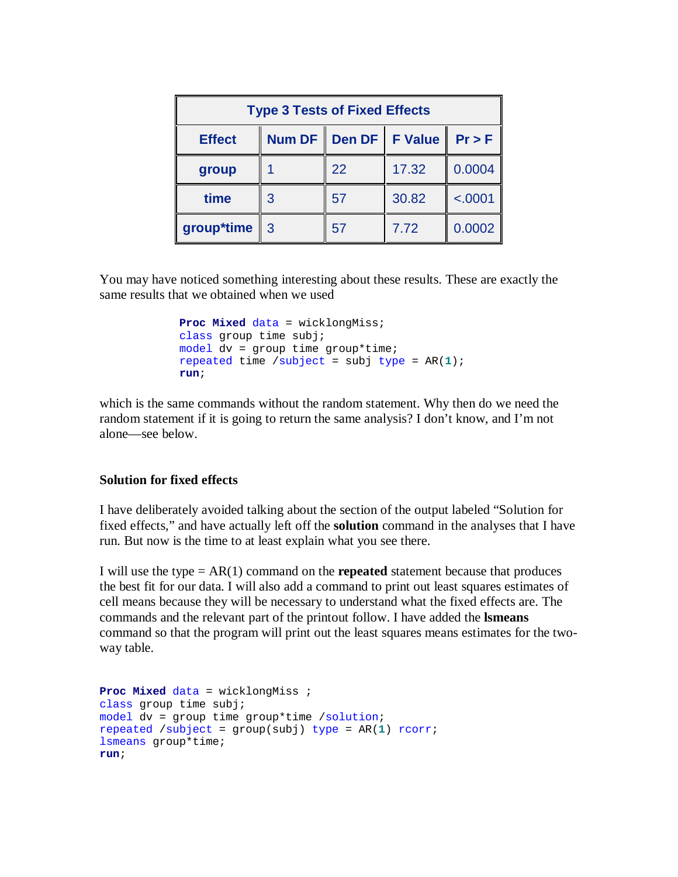| <b>Type 3 Tests of Fixed Effects</b>                            |               |    |       |         |  |  |
|-----------------------------------------------------------------|---------------|----|-------|---------|--|--|
| Den DF<br>Num DF  <br><b>F</b> Value<br>Pr > F<br><b>Effect</b> |               |    |       |         |  |  |
| group                                                           |               | 22 | 17.32 | 0.0004  |  |  |
| time                                                            | 3             | 57 | 30.82 | < .0001 |  |  |
| group*time                                                      | $\mathcal{B}$ | 57 | 7.72  | 0.0002  |  |  |

You may have noticed something interesting about these results. These are exactly the same results that we obtained when we used

```
 Proc Mixed data = wicklongMiss; 
class group time subj; 
model dv = group time group*time; 
repeated time /subject = subj type = AR(1); 
run;
```
which is the same commands without the random statement. Why then do we need the random statement if it is going to return the same analysis? I don't know, and I'm not alone—see below.

#### **Solution for fixed effects**

I have deliberately avoided talking about the section of the output labeled "Solution for fixed effects," and have actually left off the **solution** command in the analyses that I have run. But now is the time to at least explain what you see there.

I will use the type  $= AR(1)$  command on the **repeated** statement because that produces the best fit for our data. I will also add a command to print out least squares estimates of cell means because they will be necessary to understand what the fixed effects are. The commands and the relevant part of the printout follow. I have added the **lsmeans** command so that the program will print out the least squares means estimates for the twoway table.

```
Proc Mixed data = wicklongMiss ; 
class group time subj; 
model dv = group time group*time /solution; 
repeated /subject = group(subj) type = AR(1) rcorr; 
lsmeans group*time; 
run;
```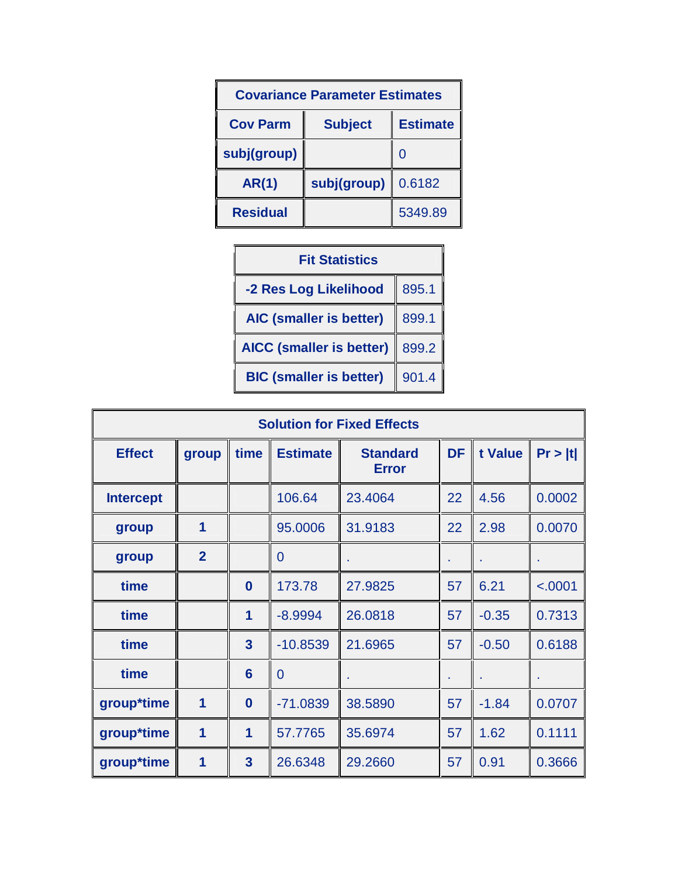| <b>Covariance Parameter Estimates</b> |                                   |         |  |  |  |
|---------------------------------------|-----------------------------------|---------|--|--|--|
| <b>Cov Parm</b>                       | <b>Subject</b><br><b>Estimate</b> |         |  |  |  |
| subj(group)                           |                                   | 0       |  |  |  |
| <b>AR(1)</b>                          | subj(group)                       | 0.6182  |  |  |  |
| <b>Residual</b>                       |                                   | 5349.89 |  |  |  |

| <b>Fit Statistics</b>           |       |  |  |  |
|---------------------------------|-------|--|--|--|
| -2 Res Log Likelihood           | 895.1 |  |  |  |
| <b>AIC (smaller is better)</b>  | 899.1 |  |  |  |
| <b>AICC (smaller is better)</b> | 899.2 |  |  |  |
| <b>BIC (smaller is better)</b>  | 901.4 |  |  |  |

| <b>Solution for Fixed Effects</b> |                         |                         |                 |                                 |           |         |         |  |  |
|-----------------------------------|-------------------------|-------------------------|-----------------|---------------------------------|-----------|---------|---------|--|--|
| <b>Effect</b>                     | group                   | time                    | <b>Estimate</b> | <b>Standard</b><br><b>Error</b> | <b>DF</b> | t Value | Pr >  t |  |  |
| <b>Intercept</b>                  |                         |                         | 106.64          | 23.4064                         | 22        | 4.56    | 0.0002  |  |  |
| group                             | $\overline{\mathbf{1}}$ |                         | 95.0006         | 31.9183                         | 22        | 2.98    | 0.0070  |  |  |
| group                             | $\overline{2}$          |                         | $\mathbf 0$     |                                 |           |         |         |  |  |
| time                              |                         | $\bf{0}$                | 173.78          | 27.9825                         | 57        | 6.21    | < .0001 |  |  |
| time                              |                         | 1                       | $-8.9994$       | 26.0818                         | 57        | $-0.35$ | 0.7313  |  |  |
| time                              |                         | $\overline{\mathbf{3}}$ | $-10.8539$      | 21.6965                         | 57        | $-0.50$ | 0.6188  |  |  |
| time                              |                         | 6                       | $\overline{0}$  |                                 |           |         |         |  |  |
| group*time                        | $\overline{\mathbf{1}}$ | $\bf{0}$                | $-71.0839$      | 38.5890                         | 57        | $-1.84$ | 0.0707  |  |  |
| group*time                        | $\overline{\mathbf{1}}$ | 1                       | 57.7765         | 35.6974                         | 57        | 1.62    | 0.1111  |  |  |
| group*time                        | 1                       | $\overline{3}$          | 26.6348         | 29.2660                         | 57        | 0.91    | 0.3666  |  |  |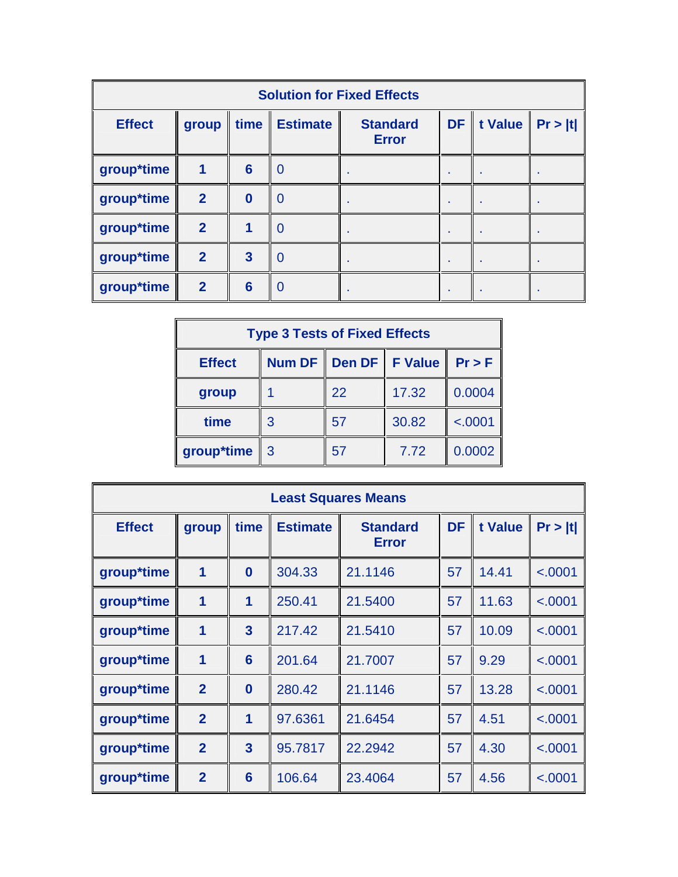| <b>Solution for Fixed Effects</b> |                         |                 |                 |                                 |           |         |         |  |
|-----------------------------------|-------------------------|-----------------|-----------------|---------------------------------|-----------|---------|---------|--|
| <b>Effect</b>                     | group                   | time            | <b>Estimate</b> | <b>Standard</b><br><b>Error</b> | <b>DF</b> | t Value | Pr >  t |  |
| group*time                        | $\overline{\mathbf{1}}$ | $6\phantom{1}6$ | $\overline{0}$  |                                 |           |         |         |  |
| group*time                        | $\overline{2}$          | $\mathbf{0}$    | $\overline{0}$  |                                 |           |         |         |  |
| group*time                        | $\overline{2}$          |                 | $\overline{0}$  |                                 |           |         |         |  |
| group*time                        | $\overline{2}$          | 3               | $\overline{0}$  |                                 |           |         |         |  |
| group*time                        | $\overline{2}$          | 6               | $\Omega$        |                                 |           |         |         |  |

| <b>Type 3 Tests of Fixed Effects</b>                 |   |    |       |         |  |  |
|------------------------------------------------------|---|----|-------|---------|--|--|
| Num DF   Den DF   F Value<br><b>Effect</b><br>Pr > F |   |    |       |         |  |  |
| group                                                |   | 22 | 17.32 | 0.0004  |  |  |
| time                                                 | 3 | 57 | 30.82 | < .0001 |  |  |
| group*time                                           | 3 | 57 | 7.72  | 0.0002  |  |  |

| <b>Least Squares Means</b> |                         |                         |                 |                                 |           |         |         |  |
|----------------------------|-------------------------|-------------------------|-----------------|---------------------------------|-----------|---------|---------|--|
| <b>Effect</b>              | group                   | time                    | <b>Estimate</b> | <b>Standard</b><br><b>Error</b> | <b>DF</b> | t Value | Pr >  t |  |
| group*time                 | $\mathbf 1$             | $\bf{0}$                | 304.33          | 21.1146                         | 57        | 14.41   | < .0001 |  |
| group*time                 | 1                       | 1                       | 250.41          | 21.5400                         | 57        | 11.63   | < .0001 |  |
| group*time                 | $\overline{\mathbf{1}}$ | 3                       | 217.42          | 21.5410                         | 57        | 10.09   | < .0001 |  |
| group*time                 | $\overline{\mathbf{1}}$ | 6                       | 201.64          | 21.7007                         | 57        | 9.29    | < .0001 |  |
| group*time                 | $\overline{2}$          | $\bf{0}$                | 280.42          | 21.1146                         | 57        | 13.28   | < .0001 |  |
| group*time                 | $\overline{2}$          | 1                       | 97.6361         | 21.6454                         | 57        | 4.51    | < .0001 |  |
| group*time                 | $\overline{2}$          | $\overline{\mathbf{3}}$ | 95.7817         | 22.2942                         | 57        | 4.30    | < .0001 |  |
| group*time                 | $\overline{2}$          | $6\phantom{1}6$         | 106.64          | 23.4064                         | 57        | 4.56    | < .0001 |  |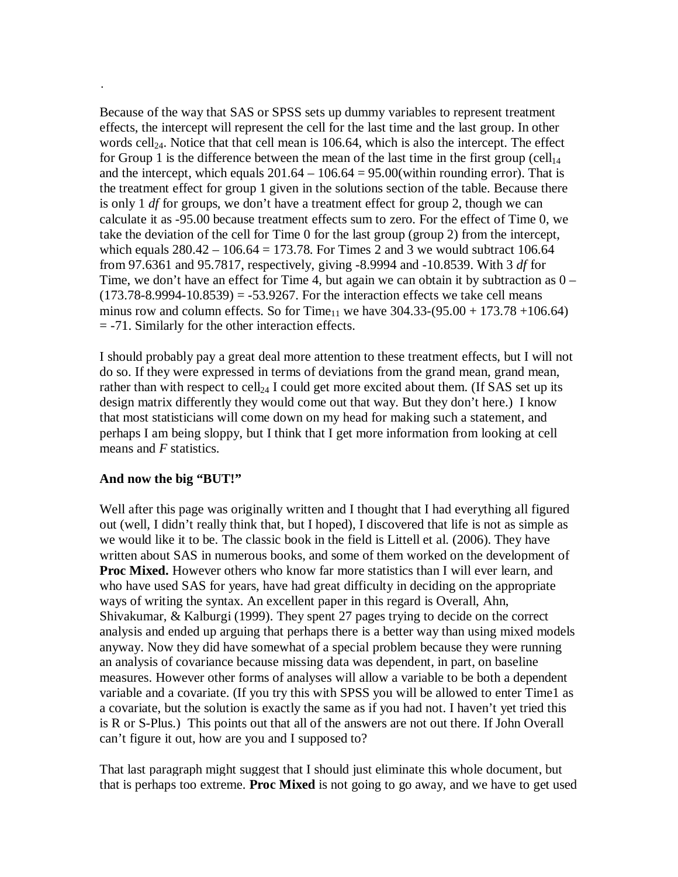Because of the way that SAS or SPSS sets up dummy variables to represent treatment effects, the intercept will represent the cell for the last time and the last group. In other words cell<sub>24</sub>. Notice that that cell mean is 106.64, which is also the intercept. The effect for Group 1 is the difference between the mean of the last time in the first group (cell<sub>14</sub>) and the intercept, which equals  $201.64 - 106.64 = 95.00$  (within rounding error). That is the treatment effect for group 1 given in the solutions section of the table. Because there is only 1 *df* for groups, we don't have a treatment effect for group 2, though we can calculate it as -95.00 because treatment effects sum to zero. For the effect of Time 0, we take the deviation of the cell for Time 0 for the last group (group 2) from the intercept, which equals  $280.42 - 106.64 = 173.78$ . For Times 2 and 3 we would subtract 106.64 from 97.6361 and 95.7817, respectively, giving -8.9994 and -10.8539. With 3 *df* for Time, we don't have an effect for Time 4, but again we can obtain it by subtraction as  $0 (173.78-8.9994-10.8539) = -53.9267$ . For the interaction effects we take cell means minus row and column effects. So for Time<sub>11</sub> we have  $304.33-(95.00 + 173.78 + 106.64)$ = -71. Similarly for the other interaction effects.

I should probably pay a great deal more attention to these treatment effects, but I will not do so. If they were expressed in terms of deviations from the grand mean, grand mean, rather than with respect to cell<sub>24</sub> I could get more excited about them. (If SAS set up its design matrix differently they would come out that way. But they don't here.) I know that most statisticians will come down on my head for making such a statement, and perhaps I am being sloppy, but I think that I get more information from looking at cell means and *F* statistics.

#### **And now the big "BUT!"**

.

Well after this page was originally written and I thought that I had everything all figured out (well, I didn't really think that, but I hoped), I discovered that life is not as simple as we would like it to be. The classic book in the field is Littell et al. (2006). They have written about SAS in numerous books, and some of them worked on the development of **Proc Mixed.** However others who know far more statistics than I will ever learn, and who have used SAS for years, have had great difficulty in deciding on the appropriate ways of writing the syntax. An excellent paper in this regard is Overall, Ahn, Shivakumar, & Kalburgi (1999). They spent 27 pages trying to decide on the correct analysis and ended up arguing that perhaps there is a better way than using mixed models anyway. Now they did have somewhat of a special problem because they were running an analysis of covariance because missing data was dependent, in part, on baseline measures. However other forms of analyses will allow a variable to be both a dependent variable and a covariate. (If you try this with SPSS you will be allowed to enter Time1 as a covariate, but the solution is exactly the same as if you had not. I haven't yet tried this is R or S-Plus.) This points out that all of the answers are not out there. If John Overall can't figure it out, how are you and I supposed to?

That last paragraph might suggest that I should just eliminate this whole document, but that is perhaps too extreme. **Proc Mixed** is not going to go away, and we have to get used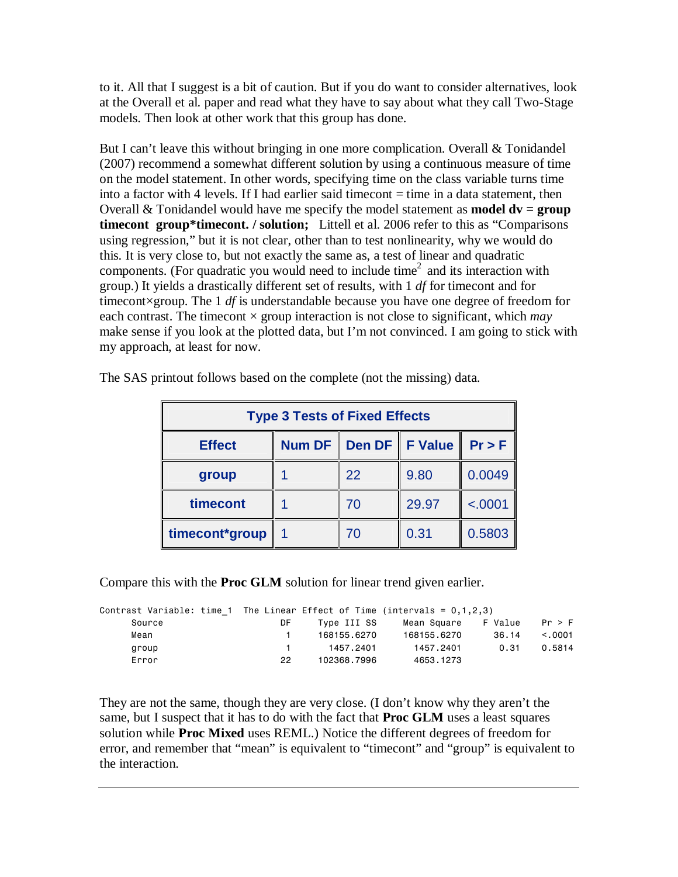to it. All that I suggest is a bit of caution. But if you do want to consider alternatives, look at the Overall et al. paper and read what they have to say about what they call Two-Stage models. Then look at other work that this group has done.

But I can't leave this without bringing in one more complication. Overall & Tonidandel (2007) recommend a somewhat different solution by using a continuous measure of time on the model statement. In other words, specifying time on the class variable turns time into a factor with 4 levels. If I had earlier said timecont  $=$  time in a data statement, then Overall  $\&$  Tonidandel would have me specify the model statement as **model**  $dv = \text{group}$ **timecont group\*timecont. / solution;** Littell et al. 2006 refer to this as "Comparisons using regression," but it is not clear, other than to test nonlinearity, why we would do this. It is very close to, but not exactly the same as, a test of linear and quadratic components. (For quadratic you would need to include time<sup>2</sup> and its interaction with group.) It yields a drastically different set of results, with 1 *df* for timecont and for timecont×group. The 1 *df* is understandable because you have one degree of freedom for each contrast. The timecont × group interaction is not close to significant, which *may* make sense if you look at the plotted data, but I'm not convinced. I am going to stick with my approach, at least for now.

| <b>Type 3 Tests of Fixed Effects</b>                                      |  |    |       |         |  |  |  |
|---------------------------------------------------------------------------|--|----|-------|---------|--|--|--|
| Den DF   <br><b>F</b> Value<br><b>Num DF</b><br>$Pr$ > F<br><b>Effect</b> |  |    |       |         |  |  |  |
| group                                                                     |  | 22 | 9.80  | 0.0049  |  |  |  |
| timecont                                                                  |  | 70 | 29.97 | < .0001 |  |  |  |
| timecont*group                                                            |  | 70 | 0.31  | 0.5803  |  |  |  |

The SAS printout follows based on the complete (not the missing) data.

Compare this with the **Proc GLM** solution for linear trend given earlier.

| Contrast Variable: time 1 The Linear Effect of Time (intervals = $0,1,2,3$ ) |     |             |             |         |         |
|------------------------------------------------------------------------------|-----|-------------|-------------|---------|---------|
| Source                                                                       | DF  | Type III SS | Mean Square | F Value | Pr > F  |
| Mean                                                                         |     | 168155.6270 | 168155.6270 | 36.14   | < 0.001 |
| group                                                                        |     | 1457.2401   | 1457.2401   | 0.31    | 0.5814  |
| Error                                                                        | 22. | 102368.7996 | 4653.1273   |         |         |

They are not the same, though they are very close. (I don't know why they aren't the same, but I suspect that it has to do with the fact that **Proc GLM** uses a least squares solution while **Proc Mixed** uses REML.) Notice the different degrees of freedom for error, and remember that "mean" is equivalent to "timecont" and "group" is equivalent to the interaction.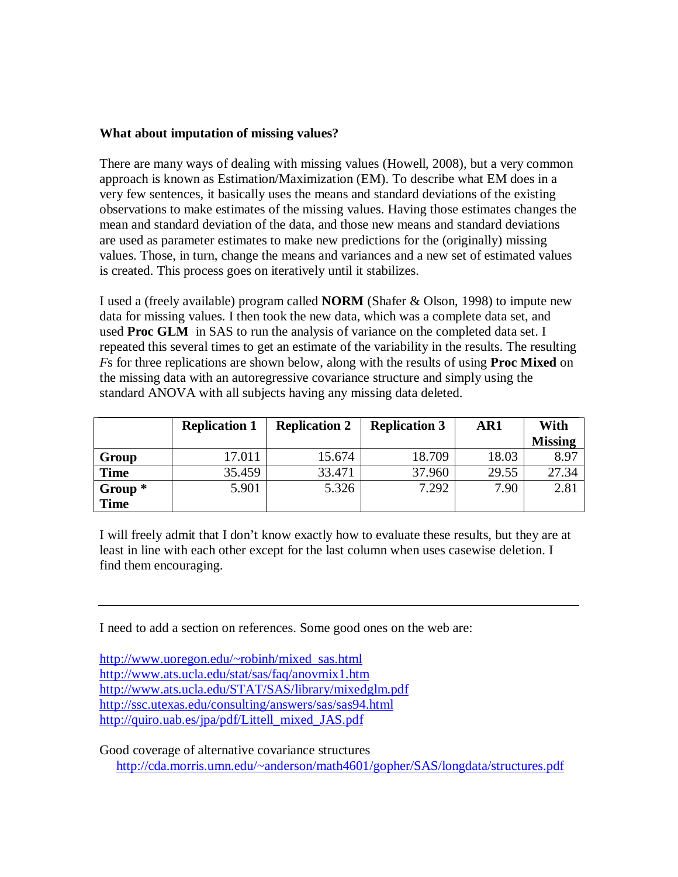#### **What about imputation of missing values?**

There are many ways of dealing with missing values (Howell, 2008), but a very common approach is known as Estimation/Maximization (EM). To describe what EM does in a very few sentences, it basically uses the means and standard deviations of the existing observations to make estimates of the missing values. Having those estimates changes the mean and standard deviation of the data, and those new means and standard deviations are used as parameter estimates to make new predictions for the (originally) missing values. Those, in turn, change the means and variances and a new set of estimated values is created. This process goes on iteratively until it stabilizes.

I used a (freely available) program called **NORM** (Shafer & Olson, 1998) to impute new data for missing values. I then took the new data, which was a complete data set, and used **Proc GLM** in SAS to run the analysis of variance on the completed data set. I repeated this several times to get an estimate of the variability in the results. The resulting *F*s for three replications are shown below, along with the results of using **Proc Mixed** on the missing data with an autoregressive covariance structure and simply using the standard ANOVA with all subjects having any missing data deleted.

|             | <b>Replication 1</b> | <b>Replication 2</b> | <b>Replication 3</b> | AR1   | With           |
|-------------|----------------------|----------------------|----------------------|-------|----------------|
|             |                      |                      |                      |       | <b>Missing</b> |
| Group       | 17.011               | 15.674               | 18.709               | 18.03 | 8.97           |
| <b>Time</b> | 35.459               | 33.471               | 37.960               | 29.55 | 27.34          |
| Group $*$   | 5.901                | 5.326                | 7.292                | 7.90  | 2.81           |
| <b>Time</b> |                      |                      |                      |       |                |

I will freely admit that I don't know exactly how to evaluate these results, but they are at least in line with each other except for the last column when uses casewise deletion. I find them encouraging.

I need to add a section on references. Some good ones on the web are:

http://www.uoregon.edu/~robinh/mixed\_sas.html http://www.ats.ucla.edu/stat/sas/faq/anovmix1.htm http://www.ats.ucla.edu/STAT/SAS/library/mixedglm.pdf http://ssc.utexas.edu/consulting/answers/sas/sas94.html http://quiro.uab.es/jpa/pdf/Littell\_mixed\_JAS.pdf

Good coverage of alternative covariance structures http://cda.morris.umn.edu/~anderson/math4601/gopher/SAS/longdata/structures.pdf